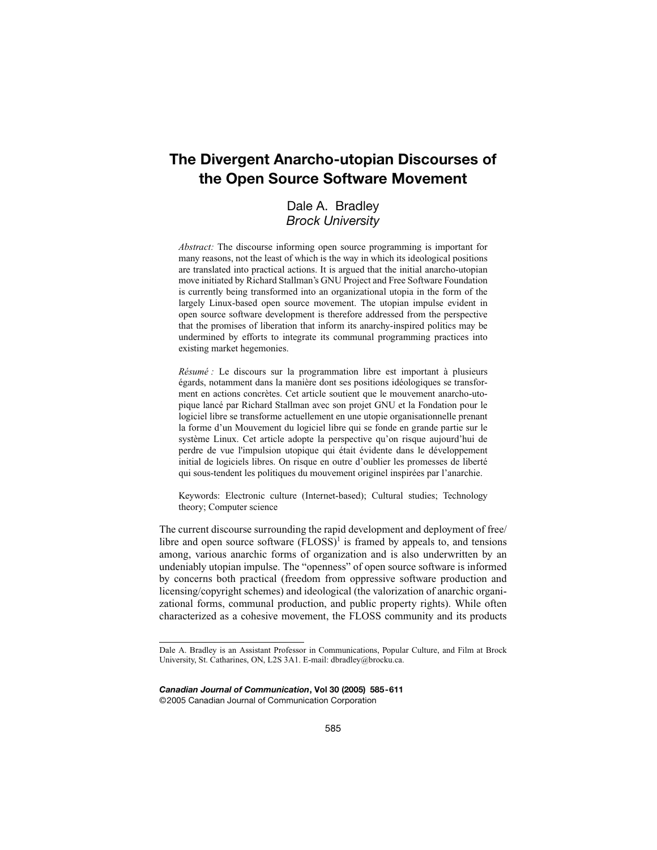# **The Divergent Anarcho-utopian Discourses of the Open Source Software Movement**

## Dale A. Bradley *Brock University*

*Abstract:* The discourse informing open source programming is important for many reasons, not the least of which is the way in which its ideological positions are translated into practical actions. It is argued that the initial anarcho-utopian move initiated by Richard Stallman's GNU Project and Free Software Foundation is currently being transformed into an organizational utopia in the form of the largely Linux-based open source movement. The utopian impulse evident in open source software development is therefore addressed from the perspective that the promises of liberation that inform its anarchy-inspired politics may be undermined by efforts to integrate its communal programming practices into existing market hegemonies.

*Résumé :* Le discours sur la programmation libre est important à plusieurs égards, notamment dans la manière dont ses positions idéologiques se transforment en actions concrètes. Cet article soutient que le mouvement anarcho-utopique lancé par Richard Stallman avec son projet GNU et la Fondation pour le logiciel libre se transforme actuellement en une utopie organisationnelle prenant la forme d'un Mouvement du logiciel libre qui se fonde en grande partie sur le système Linux. Cet article adopte la perspective qu'on risque aujourd'hui de perdre de vue l'impulsion utopique qui était évidente dans le développement initial de logiciels libres. On risque en outre d'oublier les promesses de liberté qui sous-tendent les politiques du mouvement originel inspirées par l'anarchie.

Keywords: Electronic culture (Internet-based); Cultural studies; Technology theory; Computer science

The current discourse surrounding the rapid development and deployment of free/ libre and open source software  $(FLOSS)^1$  is framed by appeals to, and tensions among, various anarchic forms of organization and is also underwritten by an undeniably utopian impulse. The "openness" of open source software is informed by concerns both practical (freedom from oppressive software production and licensing/copyright schemes) and ideological (the valorization of anarchic organizational forms, communal production, and public property rights). While often characterized as a cohesive movement, the FLOSS community and its products

*Canadian Journal of Communication***, Vol 30 (2005) 585-611** ©2005 Canadian Journal of Communication Corporation

Dale A. Bradley is an Assistant Professor in Communications, Popular Culture, and Film at Brock University, St. Catharines, ON, L2S 3A1. E-mail: dbradley@brocku.ca.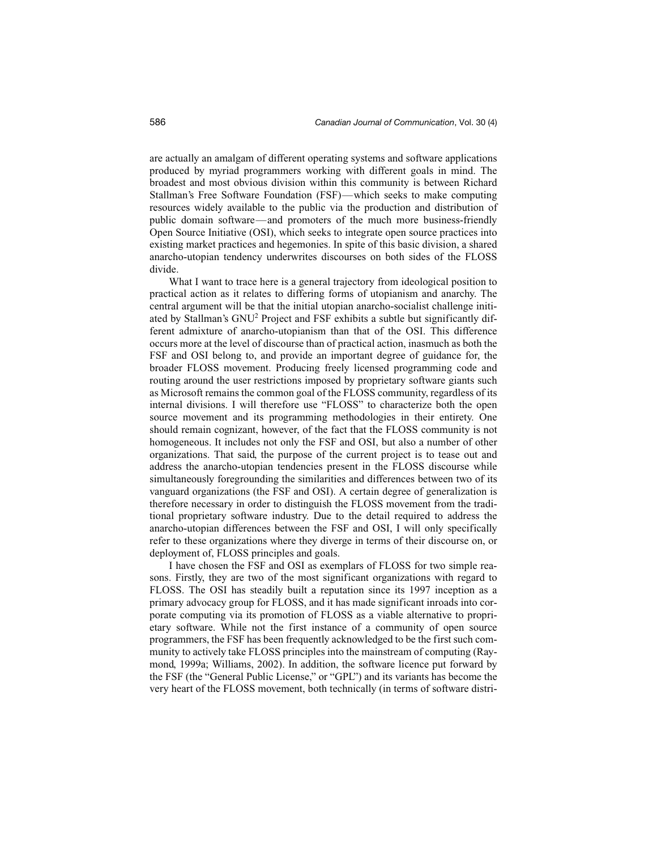are actually an amalgam of different operating systems and software applications produced by myriad programmers working with different goals in mind. The broadest and most obvious division within this community is between Richard Stallman's Free Software Foundation (FSF)—which seeks to make computing resources widely available to the public via the production and distribution of public domain software—and promoters of the much more business-friendly Open Source Initiative (OSI), which seeks to integrate open source practices into existing market practices and hegemonies. In spite of this basic division, a shared anarcho-utopian tendency underwrites discourses on both sides of the FLOSS divide.

What I want to trace here is a general trajectory from ideological position to practical action as it relates to differing forms of utopianism and anarchy. The central argument will be that the initial utopian anarcho-socialist challenge initiated by Stallman's GNU<sup>2</sup> Project and FSF exhibits a subtle but significantly different admixture of anarcho-utopianism than that of the OSI. This difference occurs more at the level of discourse than of practical action, inasmuch as both the FSF and OSI belong to, and provide an important degree of guidance for, the broader FLOSS movement. Producing freely licensed programming code and routing around the user restrictions imposed by proprietary software giants such as Microsoft remains the common goal of the FLOSS community, regardless of its internal divisions. I will therefore use "FLOSS" to characterize both the open source movement and its programming methodologies in their entirety. One should remain cognizant, however, of the fact that the FLOSS community is not homogeneous. It includes not only the FSF and OSI, but also a number of other organizations. That said, the purpose of the current project is to tease out and address the anarcho-utopian tendencies present in the FLOSS discourse while simultaneously foregrounding the similarities and differences between two of its vanguard organizations (the FSF and OSI). A certain degree of generalization is therefore necessary in order to distinguish the FLOSS movement from the traditional proprietary software industry. Due to the detail required to address the anarcho-utopian differences between the FSF and OSI, I will only specifically refer to these organizations where they diverge in terms of their discourse on, or deployment of, FLOSS principles and goals.

I have chosen the FSF and OSI as exemplars of FLOSS for two simple reasons. Firstly, they are two of the most significant organizations with regard to FLOSS. The OSI has steadily built a reputation since its 1997 inception as a primary advocacy group for FLOSS, and it has made significant inroads into corporate computing via its promotion of FLOSS as a viable alternative to proprietary software. While not the first instance of a community of open source programmers, the FSF has been frequently acknowledged to be the first such community to actively take FLOSS principles into the mainstream of computing (Raymond, 1999a; Williams, 2002). In addition, the software licence put forward by the FSF (the "General Public License," or "GPL") and its variants has become the very heart of the FLOSS movement, both technically (in terms of software distri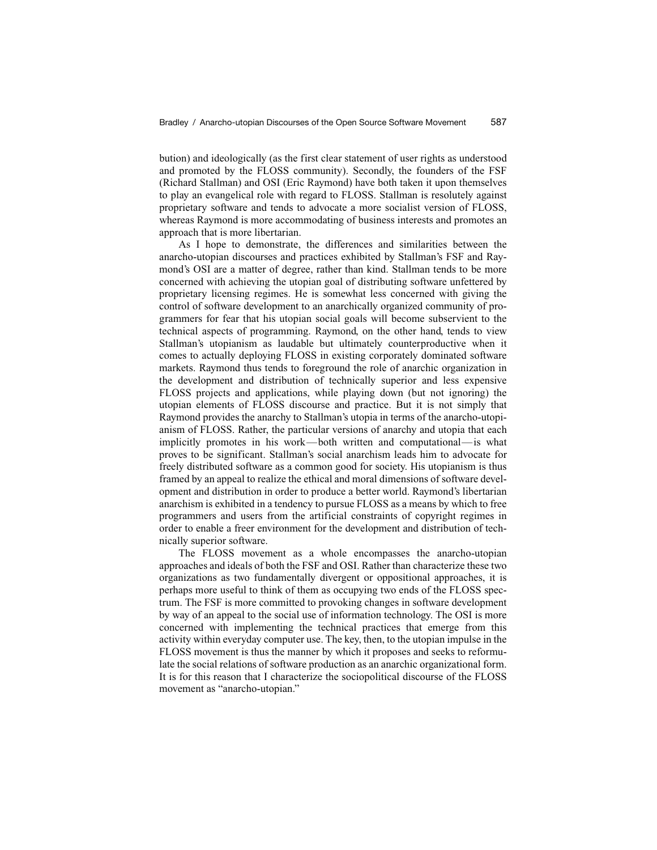bution) and ideologically (as the first clear statement of user rights as understood and promoted by the FLOSS community). Secondly, the founders of the FSF (Richard Stallman) and OSI (Eric Raymond) have both taken it upon themselves to play an evangelical role with regard to FLOSS. Stallman is resolutely against proprietary software and tends to advocate a more socialist version of FLOSS, whereas Raymond is more accommodating of business interests and promotes an approach that is more libertarian.

As I hope to demonstrate, the differences and similarities between the anarcho-utopian discourses and practices exhibited by Stallman's FSF and Raymond's OSI are a matter of degree, rather than kind. Stallman tends to be more concerned with achieving the utopian goal of distributing software unfettered by proprietary licensing regimes. He is somewhat less concerned with giving the control of software development to an anarchically organized community of programmers for fear that his utopian social goals will become subservient to the technical aspects of programming. Raymond, on the other hand, tends to view Stallman's utopianism as laudable but ultimately counterproductive when it comes to actually deploying FLOSS in existing corporately dominated software markets. Raymond thus tends to foreground the role of anarchic organization in the development and distribution of technically superior and less expensive FLOSS projects and applications, while playing down (but not ignoring) the utopian elements of FLOSS discourse and practice. But it is not simply that Raymond provides the anarchy to Stallman's utopia in terms of the anarcho-utopianism of FLOSS. Rather, the particular versions of anarchy and utopia that each implicitly promotes in his work—both written and computational—is what proves to be significant. Stallman's social anarchism leads him to advocate for freely distributed software as a common good for society. His utopianism is thus framed by an appeal to realize the ethical and moral dimensions of software development and distribution in order to produce a better world. Raymond's libertarian anarchism is exhibited in a tendency to pursue FLOSS as a means by which to free programmers and users from the artificial constraints of copyright regimes in order to enable a freer environment for the development and distribution of technically superior software.

The FLOSS movement as a whole encompasses the anarcho-utopian approaches and ideals of both the FSF and OSI. Rather than characterize these two organizations as two fundamentally divergent or oppositional approaches, it is perhaps more useful to think of them as occupying two ends of the FLOSS spectrum. The FSF is more committed to provoking changes in software development by way of an appeal to the social use of information technology. The OSI is more concerned with implementing the technical practices that emerge from this activity within everyday computer use. The key, then, to the utopian impulse in the FLOSS movement is thus the manner by which it proposes and seeks to reformulate the social relations of software production as an anarchic organizational form. It is for this reason that I characterize the sociopolitical discourse of the FLOSS movement as "anarcho-utopian."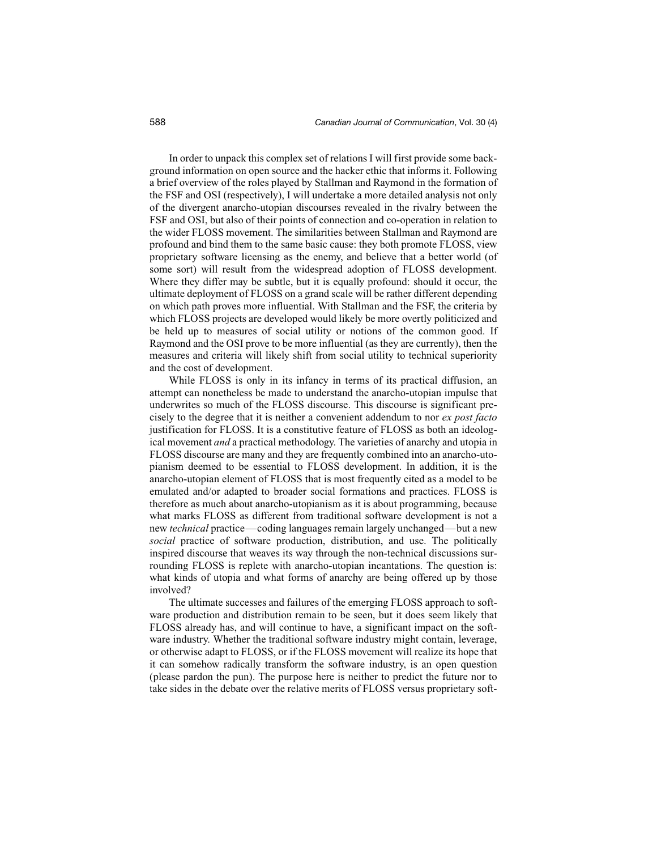In order to unpack this complex set of relations I will first provide some background information on open source and the hacker ethic that informs it. Following a brief overview of the roles played by Stallman and Raymond in the formation of the FSF and OSI (respectively), I will undertake a more detailed analysis not only of the divergent anarcho-utopian discourses revealed in the rivalry between the FSF and OSI, but also of their points of connection and co-operation in relation to the wider FLOSS movement. The similarities between Stallman and Raymond are profound and bind them to the same basic cause: they both promote FLOSS, view proprietary software licensing as the enemy, and believe that a better world (of some sort) will result from the widespread adoption of FLOSS development. Where they differ may be subtle, but it is equally profound: should it occur, the ultimate deployment of FLOSS on a grand scale will be rather different depending on which path proves more influential. With Stallman and the FSF, the criteria by which FLOSS projects are developed would likely be more overtly politicized and be held up to measures of social utility or notions of the common good. If Raymond and the OSI prove to be more influential (as they are currently), then the measures and criteria will likely shift from social utility to technical superiority and the cost of development.

While FLOSS is only in its infancy in terms of its practical diffusion, an attempt can nonetheless be made to understand the anarcho-utopian impulse that underwrites so much of the FLOSS discourse. This discourse is significant precisely to the degree that it is neither a convenient addendum to nor *ex post facto* justification for FLOSS. It is a constitutive feature of FLOSS as both an ideological movement *and* a practical methodology. The varieties of anarchy and utopia in FLOSS discourse are many and they are frequently combined into an anarcho-utopianism deemed to be essential to FLOSS development. In addition, it is the anarcho-utopian element of FLOSS that is most frequently cited as a model to be emulated and/or adapted to broader social formations and practices. FLOSS is therefore as much about anarcho-utopianism as it is about programming, because what marks FLOSS as different from traditional software development is not a new *technical* practice—coding languages remain largely unchanged—but a new *social* practice of software production, distribution, and use. The politically inspired discourse that weaves its way through the non-technical discussions surrounding FLOSS is replete with anarcho-utopian incantations. The question is: what kinds of utopia and what forms of anarchy are being offered up by those involved?

The ultimate successes and failures of the emerging FLOSS approach to software production and distribution remain to be seen, but it does seem likely that FLOSS already has, and will continue to have, a significant impact on the software industry. Whether the traditional software industry might contain, leverage, or otherwise adapt to FLOSS, or if the FLOSS movement will realize its hope that it can somehow radically transform the software industry, is an open question (please pardon the pun). The purpose here is neither to predict the future nor to take sides in the debate over the relative merits of FLOSS versus proprietary soft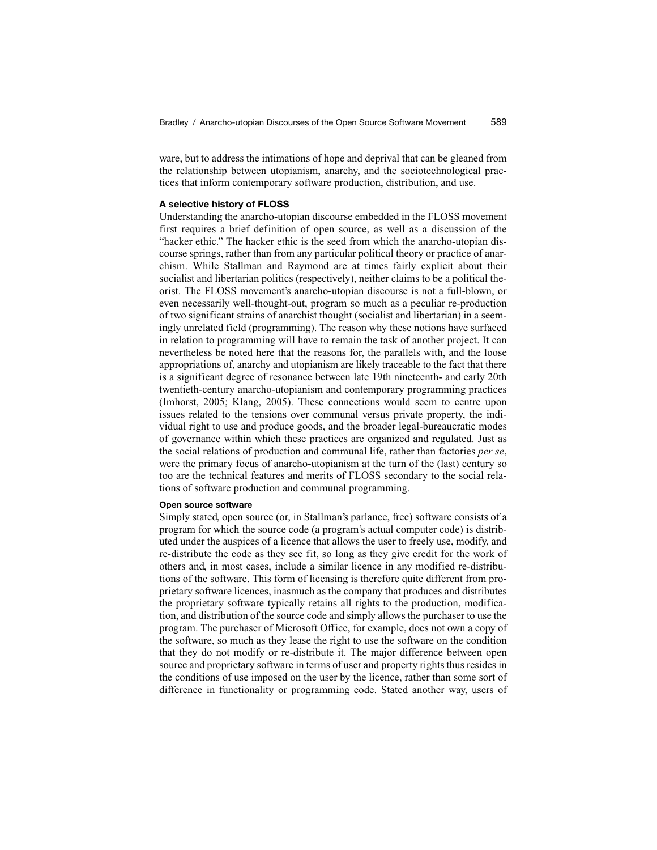ware, but to address the intimations of hope and deprival that can be gleaned from the relationship between utopianism, anarchy, and the sociotechnological practices that inform contemporary software production, distribution, and use.

#### **A selective history of FLOSS**

Understanding the anarcho-utopian discourse embedded in the FLOSS movement first requires a brief definition of open source, as well as a discussion of the "hacker ethic." The hacker ethic is the seed from which the anarcho-utopian discourse springs, rather than from any particular political theory or practice of anarchism. While Stallman and Raymond are at times fairly explicit about their socialist and libertarian politics (respectively), neither claims to be a political theorist. The FLOSS movement's anarcho-utopian discourse is not a full-blown, or even necessarily well-thought-out, program so much as a peculiar re-production of two significant strains of anarchist thought (socialist and libertarian) in a seemingly unrelated field (programming). The reason why these notions have surfaced in relation to programming will have to remain the task of another project. It can nevertheless be noted here that the reasons for, the parallels with, and the loose appropriations of, anarchy and utopianism are likely traceable to the fact that there is a significant degree of resonance between late 19th nineteenth- and early 20th twentieth-century anarcho-utopianism and contemporary programming practices (Imhorst, 2005; Klang, 2005). These connections would seem to centre upon issues related to the tensions over communal versus private property, the individual right to use and produce goods, and the broader legal-bureaucratic modes of governance within which these practices are organized and regulated. Just as the social relations of production and communal life, rather than factories *per se*, were the primary focus of anarcho-utopianism at the turn of the (last) century so too are the technical features and merits of FLOSS secondary to the social relations of software production and communal programming.

#### **Open source software**

Simply stated, open source (or, in Stallman's parlance, free) software consists of a program for which the source code (a program's actual computer code) is distributed under the auspices of a licence that allows the user to freely use, modify, and re-distribute the code as they see fit, so long as they give credit for the work of others and, in most cases, include a similar licence in any modified re-distributions of the software. This form of licensing is therefore quite different from proprietary software licences, inasmuch as the company that produces and distributes the proprietary software typically retains all rights to the production, modification, and distribution of the source code and simply allows the purchaser to use the program. The purchaser of Microsoft Office, for example, does not own a copy of the software, so much as they lease the right to use the software on the condition that they do not modify or re-distribute it. The major difference between open source and proprietary software in terms of user and property rights thus resides in the conditions of use imposed on the user by the licence, rather than some sort of difference in functionality or programming code. Stated another way, users of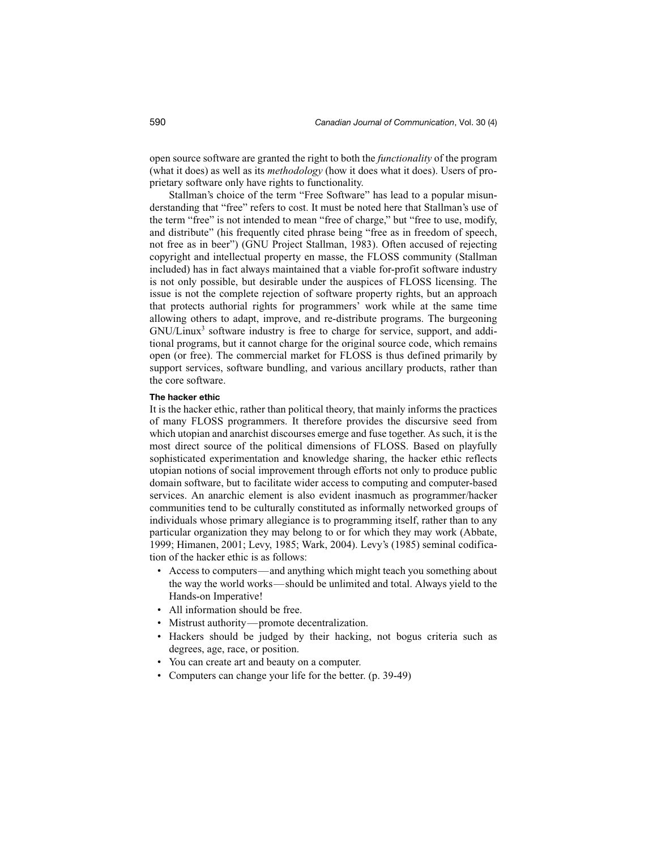open source software are granted the right to both the *functionality* of the program (what it does) as well as its *methodology* (how it does what it does). Users of proprietary software only have rights to functionality.

Stallman's choice of the term "Free Software" has lead to a popular misunderstanding that "free" refers to cost. It must be noted here that Stallman's use of the term "free" is not intended to mean "free of charge," but "free to use, modify, and distribute" (his frequently cited phrase being "free as in freedom of speech, not free as in beer") (GNU Project Stallman, 1983). Often accused of rejecting copyright and intellectual property en masse, the FLOSS community (Stallman included) has in fact always maintained that a viable for-profit software industry is not only possible, but desirable under the auspices of FLOSS licensing. The issue is not the complete rejection of software property rights, but an approach that protects authorial rights for programmers' work while at the same time allowing others to adapt, improve, and re-distribute programs. The burgeoning GNU/Linux<sup>3</sup> software industry is free to charge for service, support, and additional programs, but it cannot charge for the original source code, which remains open (or free). The commercial market for FLOSS is thus defined primarily by support services, software bundling, and various ancillary products, rather than the core software.

#### **The hacker ethic**

It is the hacker ethic, rather than political theory, that mainly informs the practices of many FLOSS programmers. It therefore provides the discursive seed from which utopian and anarchist discourses emerge and fuse together. As such, it is the most direct source of the political dimensions of FLOSS. Based on playfully sophisticated experimentation and knowledge sharing, the hacker ethic reflects utopian notions of social improvement through efforts not only to produce public domain software, but to facilitate wider access to computing and computer-based services. An anarchic element is also evident inasmuch as programmer/hacker communities tend to be culturally constituted as informally networked groups of individuals whose primary allegiance is to programming itself, rather than to any particular organization they may belong to or for which they may work (Abbate, 1999; Himanen, 2001; Levy, 1985; Wark, 2004). Levy's (1985) seminal codification of the hacker ethic is as follows:

- Access to computers—and anything which might teach you something about the way the world works—should be unlimited and total. Always yield to the Hands-on Imperative!
- All information should be free.
- Mistrust authority—promote decentralization.
- Hackers should be judged by their hacking, not bogus criteria such as degrees, age, race, or position.
- You can create art and beauty on a computer.
- Computers can change your life for the better. (p. 39-49)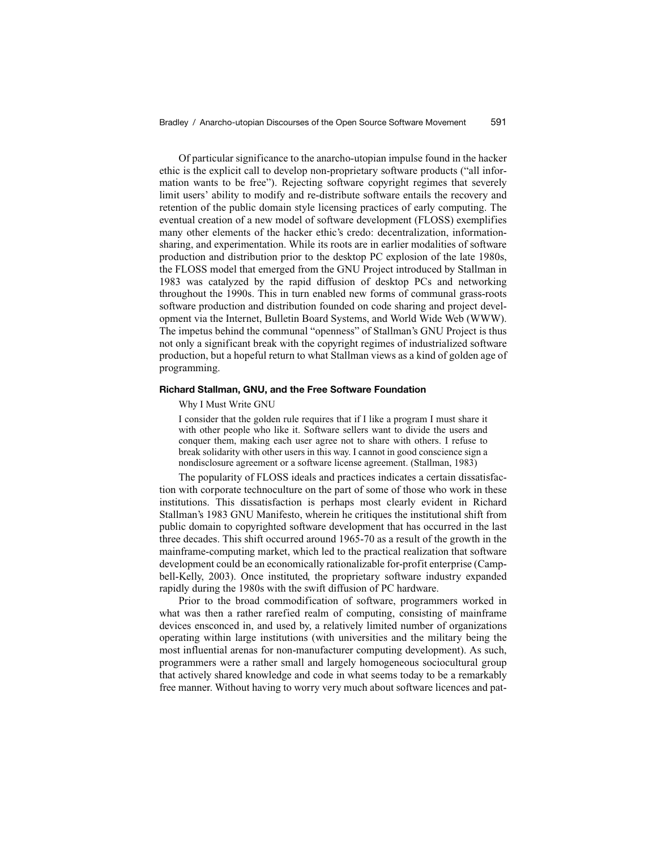Of particular significance to the anarcho-utopian impulse found in the hacker ethic is the explicit call to develop non-proprietary software products ("all information wants to be free"). Rejecting software copyright regimes that severely limit users' ability to modify and re-distribute software entails the recovery and retention of the public domain style licensing practices of early computing. The eventual creation of a new model of software development (FLOSS) exemplifies many other elements of the hacker ethic's credo: decentralization, informationsharing, and experimentation. While its roots are in earlier modalities of software production and distribution prior to the desktop PC explosion of the late 1980s, the FLOSS model that emerged from the GNU Project introduced by Stallman in 1983 was catalyzed by the rapid diffusion of desktop PCs and networking throughout the 1990s. This in turn enabled new forms of communal grass-roots software production and distribution founded on code sharing and project development via the Internet, Bulletin Board Systems, and World Wide Web (WWW). The impetus behind the communal "openness" of Stallman's GNU Project is thus not only a significant break with the copyright regimes of industrialized software production, but a hopeful return to what Stallman views as a kind of golden age of programming.

#### **Richard Stallman, GNU, and the Free Software Foundation**

#### Why I Must Write GNU

I consider that the golden rule requires that if I like a program I must share it with other people who like it. Software sellers want to divide the users and conquer them, making each user agree not to share with others. I refuse to break solidarity with other users in this way. I cannot in good conscience sign a nondisclosure agreement or a software license agreement. (Stallman, 1983)

The popularity of FLOSS ideals and practices indicates a certain dissatisfaction with corporate technoculture on the part of some of those who work in these institutions. This dissatisfaction is perhaps most clearly evident in Richard Stallman's 1983 GNU Manifesto, wherein he critiques the institutional shift from public domain to copyrighted software development that has occurred in the last three decades. This shift occurred around 1965-70 as a result of the growth in the mainframe-computing market, which led to the practical realization that software development could be an economically rationalizable for-profit enterprise (Campbell-Kelly, 2003). Once instituted, the proprietary software industry expanded rapidly during the 1980s with the swift diffusion of PC hardware.

Prior to the broad commodification of software, programmers worked in what was then a rather rarefied realm of computing, consisting of mainframe devices ensconced in, and used by, a relatively limited number of organizations operating within large institutions (with universities and the military being the most influential arenas for non-manufacturer computing development). As such, programmers were a rather small and largely homogeneous sociocultural group that actively shared knowledge and code in what seems today to be a remarkably free manner. Without having to worry very much about software licences and pat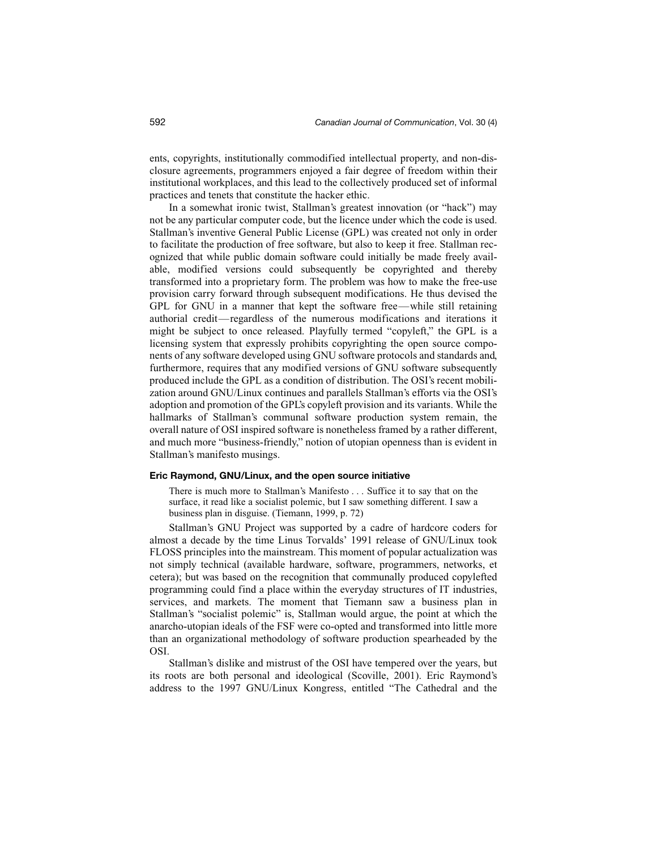ents, copyrights, institutionally commodified intellectual property, and non-disclosure agreements, programmers enjoyed a fair degree of freedom within their institutional workplaces, and this lead to the collectively produced set of informal practices and tenets that constitute the hacker ethic.

In a somewhat ironic twist, Stallman's greatest innovation (or "hack") may not be any particular computer code, but the licence under which the code is used. Stallman's inventive General Public License (GPL) was created not only in order to facilitate the production of free software, but also to keep it free. Stallman recognized that while public domain software could initially be made freely available, modified versions could subsequently be copyrighted and thereby transformed into a proprietary form. The problem was how to make the free-use provision carry forward through subsequent modifications. He thus devised the GPL for GNU in a manner that kept the software free—while still retaining authorial credit—regardless of the numerous modifications and iterations it might be subject to once released. Playfully termed "copyleft," the GPL is a licensing system that expressly prohibits copyrighting the open source components of any software developed using GNU software protocols and standards and, furthermore, requires that any modified versions of GNU software subsequently produced include the GPL as a condition of distribution. The OSI's recent mobilization around GNU/Linux continues and parallels Stallman's efforts via the OSI's adoption and promotion of the GPL's copyleft provision and its variants. While the hallmarks of Stallman's communal software production system remain, the overall nature of OSI inspired software is nonetheless framed by a rather different, and much more "business-friendly," notion of utopian openness than is evident in Stallman's manifesto musings.

#### **Eric Raymond, GNU/Linux, and the open source initiative**

There is much more to Stallman's Manifesto . . . Suffice it to say that on the surface, it read like a socialist polemic, but I saw something different. I saw a business plan in disguise. (Tiemann, 1999, p. 72)

Stallman's GNU Project was supported by a cadre of hardcore coders for almost a decade by the time Linus Torvalds' 1991 release of GNU/Linux took FLOSS principles into the mainstream. This moment of popular actualization was not simply technical (available hardware, software, programmers, networks, et cetera); but was based on the recognition that communally produced copylefted programming could find a place within the everyday structures of IT industries, services, and markets. The moment that Tiemann saw a business plan in Stallman's "socialist polemic" is, Stallman would argue, the point at which the anarcho-utopian ideals of the FSF were co-opted and transformed into little more than an organizational methodology of software production spearheaded by the OSI.

Stallman's dislike and mistrust of the OSI have tempered over the years, but its roots are both personal and ideological (Scoville, 2001). Eric Raymond's address to the 1997 GNU/Linux Kongress, entitled "The Cathedral and the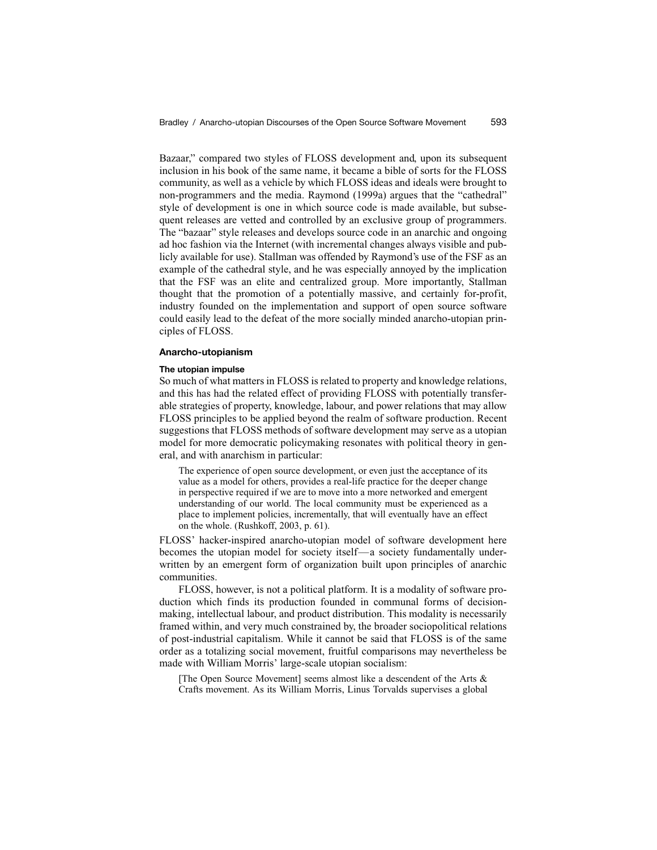Bazaar," compared two styles of FLOSS development and, upon its subsequent inclusion in his book of the same name, it became a bible of sorts for the FLOSS community, as well as a vehicle by which FLOSS ideas and ideals were brought to non-programmers and the media. Raymond (1999a) argues that the "cathedral" style of development is one in which source code is made available, but subsequent releases are vetted and controlled by an exclusive group of programmers. The "bazaar" style releases and develops source code in an anarchic and ongoing ad hoc fashion via the Internet (with incremental changes always visible and publicly available for use). Stallman was offended by Raymond's use of the FSF as an example of the cathedral style, and he was especially annoyed by the implication that the FSF was an elite and centralized group. More importantly, Stallman thought that the promotion of a potentially massive, and certainly for-profit, industry founded on the implementation and support of open source software could easily lead to the defeat of the more socially minded anarcho-utopian principles of FLOSS.

#### **Anarcho-utopianism**

#### **The utopian impulse**

So much of what matters in FLOSS is related to property and knowledge relations, and this has had the related effect of providing FLOSS with potentially transferable strategies of property, knowledge, labour, and power relations that may allow FLOSS principles to be applied beyond the realm of software production. Recent suggestions that FLOSS methods of software development may serve as a utopian model for more democratic policymaking resonates with political theory in general, and with anarchism in particular:

The experience of open source development, or even just the acceptance of its value as a model for others, provides a real-life practice for the deeper change in perspective required if we are to move into a more networked and emergent understanding of our world. The local community must be experienced as a place to implement policies, incrementally, that will eventually have an effect on the whole. (Rushkoff, 2003, p. 61).

FLOSS' hacker-inspired anarcho-utopian model of software development here becomes the utopian model for society itself—a society fundamentally underwritten by an emergent form of organization built upon principles of anarchic communities.

FLOSS, however, is not a political platform. It is a modality of software production which finds its production founded in communal forms of decisionmaking, intellectual labour, and product distribution. This modality is necessarily framed within, and very much constrained by, the broader sociopolitical relations of post-industrial capitalism. While it cannot be said that FLOSS is of the same order as a totalizing social movement, fruitful comparisons may nevertheless be made with William Morris' large-scale utopian socialism:

[The Open Source Movement] seems almost like a descendent of the Arts & Crafts movement. As its William Morris, Linus Torvalds supervises a global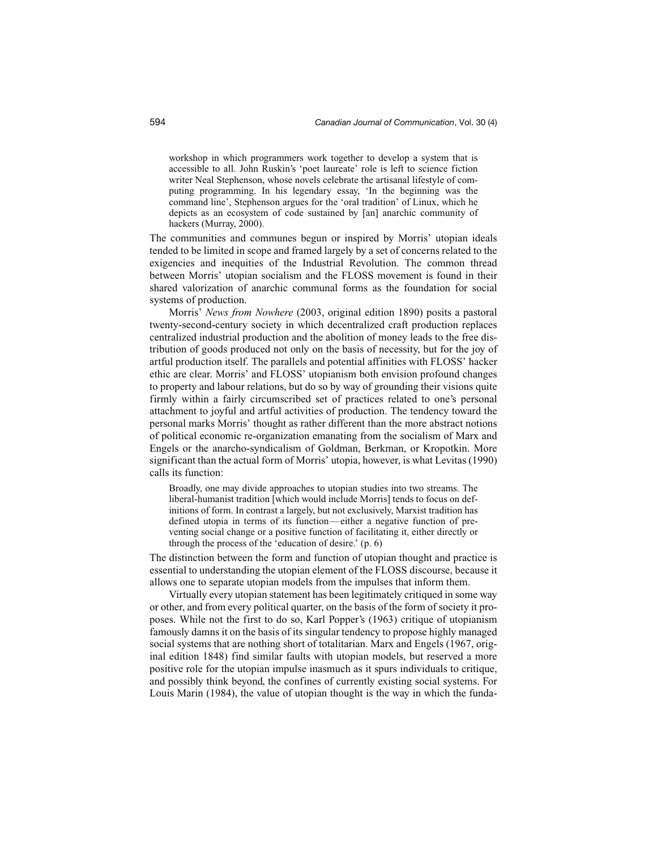workshop in which programmers work together to develop a system that is accessible to all. John Ruskin's 'poet laureate' role is left to science fiction writer Neal Stephenson, whose novels celebrate the artisanal lifestyle of computing programming. In his legendary essay, 'In the beginning was the command line', Stephenson argues for the 'oral tradition' of Linux, which he depicts as an ecosystem of code sustained by [an] anarchic community of hackers (Murray, 2000).

The communities and communes begun or inspired by Morris' utopian ideals tended to be limited in scope and framed largely by a set of concerns related to the exigencies and inequities of the Industrial Revolution. The common thread between Morris' utopian socialism and the FLOSS movement is found in their shared valorization of anarchic communal forms as the foundation for social systems of production.

Morris' *News from Nowhere* (2003, original edition 1890) posits a pastoral twenty-second-century society in which decentralized craft production replaces centralized industrial production and the abolition of money leads to the free distribution of goods produced not only on the basis of necessity, but for the joy of artful production itself. The parallels and potential affinities with FLOSS' hacker ethic are clear. Morris' and FLOSS' utopianism both envision profound changes to property and labour relations, but do so by way of grounding their visions quite firmly within a fairly circumscribed set of practices related to one's personal attachment to joyful and artful activities of production. The tendency toward the personal marks Morris' thought as rather different than the more abstract notions of political economic re-organization emanating from the socialism of Marx and Engels or the anarcho-syndicalism of Goldman, Berkman, or Kropotkin. More significant than the actual form of Morris' utopia, however, is what Levitas (1990) calls its function:

Broadly, one may divide approaches to utopian studies into two streams. The liberal-humanist tradition [which would include Morris] tends to focus on definitions of form. In contrast a largely, but not exclusively, Marxist tradition has defined utopia in terms of its function—either a negative function of preventing social change or a positive function of facilitating it, either directly or through the process of the 'education of desire.' (p. 6)

The distinction between the form and function of utopian thought and practice is essential to understanding the utopian element of the FLOSS discourse, because it allows one to separate utopian models from the impulses that inform them.

Virtually every utopian statement has been legitimately critiqued in some way or other, and from every political quarter, on the basis of the form of society it proposes. While not the first to do so, Karl Popper's (1963) critique of utopianism famously damns it on the basis of its singular tendency to propose highly managed social systems that are nothing short of totalitarian. Marx and Engels (1967, original edition 1848) find similar faults with utopian models, but reserved a more positive role for the utopian impulse inasmuch as it spurs individuals to critique, and possibly think beyond, the confines of currently existing social systems. For Louis Marin (1984), the value of utopian thought is the way in which the funda-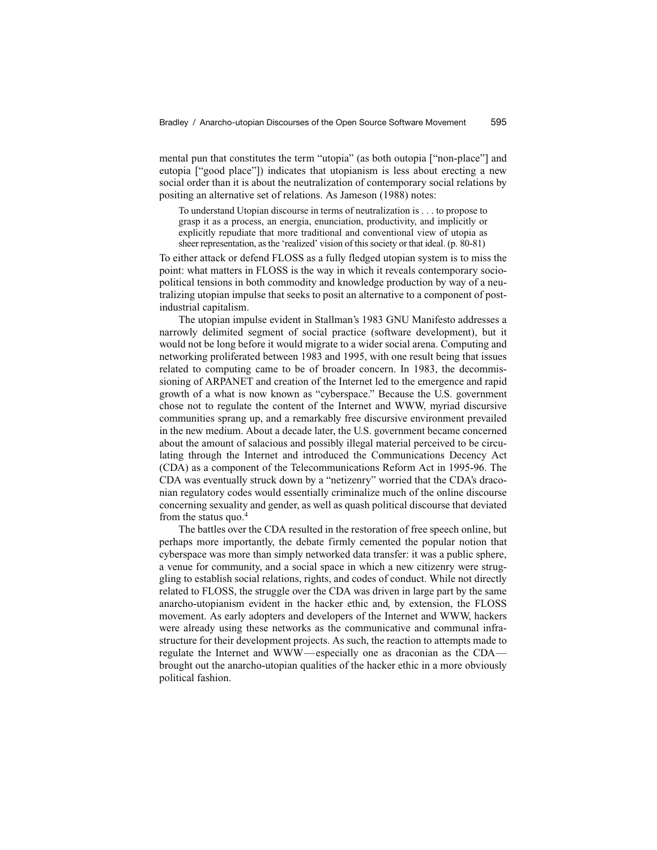mental pun that constitutes the term "utopia" (as both outopia ["non-place"] and eutopia ["good place"]) indicates that utopianism is less about erecting a new social order than it is about the neutralization of contemporary social relations by positing an alternative set of relations. As Jameson (1988) notes:

To understand Utopian discourse in terms of neutralization is . . . to propose to grasp it as a process, an energia, enunciation, productivity, and implicitly or explicitly repudiate that more traditional and conventional view of utopia as sheer representation, as the 'realized' vision of this society or that ideal. (p. 80-81)

To either attack or defend FLOSS as a fully fledged utopian system is to miss the point: what matters in FLOSS is the way in which it reveals contemporary sociopolitical tensions in both commodity and knowledge production by way of a neutralizing utopian impulse that seeks to posit an alternative to a component of postindustrial capitalism.

The utopian impulse evident in Stallman's 1983 GNU Manifesto addresses a narrowly delimited segment of social practice (software development), but it would not be long before it would migrate to a wider social arena. Computing and networking proliferated between 1983 and 1995, with one result being that issues related to computing came to be of broader concern. In 1983, the decommissioning of ARPANET and creation of the Internet led to the emergence and rapid growth of a what is now known as "cyberspace." Because the U.S. government chose not to regulate the content of the Internet and WWW, myriad discursive communities sprang up, and a remarkably free discursive environment prevailed in the new medium. About a decade later, the U.S. government became concerned about the amount of salacious and possibly illegal material perceived to be circulating through the Internet and introduced the Communications Decency Act (CDA) as a component of the Telecommunications Reform Act in 1995-96. The CDA was eventually struck down by a "netizenry" worried that the CDA's draconian regulatory codes would essentially criminalize much of the online discourse concerning sexuality and gender, as well as quash political discourse that deviated from the status quo.4

The battles over the CDA resulted in the restoration of free speech online, but perhaps more importantly, the debate firmly cemented the popular notion that cyberspace was more than simply networked data transfer: it was a public sphere, a venue for community, and a social space in which a new citizenry were struggling to establish social relations, rights, and codes of conduct. While not directly related to FLOSS, the struggle over the CDA was driven in large part by the same anarcho-utopianism evident in the hacker ethic and, by extension, the FLOSS movement. As early adopters and developers of the Internet and WWW, hackers were already using these networks as the communicative and communal infrastructure for their development projects. As such, the reaction to attempts made to regulate the Internet and WWW—especially one as draconian as the CDA brought out the anarcho-utopian qualities of the hacker ethic in a more obviously political fashion.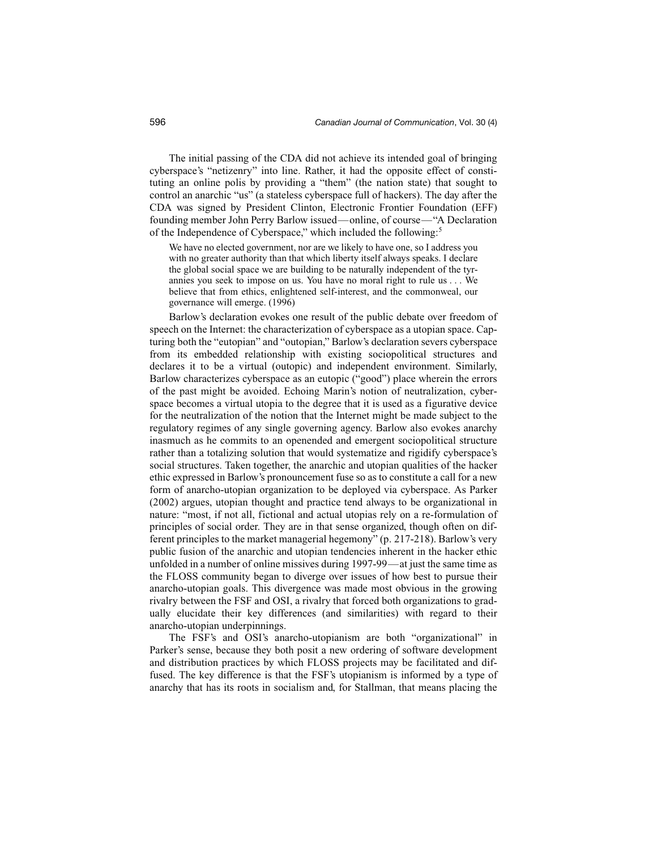The initial passing of the CDA did not achieve its intended goal of bringing cyberspace's "netizenry" into line. Rather, it had the opposite effect of constituting an online polis by providing a "them" (the nation state) that sought to control an anarchic "us" (a stateless cyberspace full of hackers). The day after the CDA was signed by President Clinton, Electronic Frontier Foundation (EFF) founding member John Perry Barlow issued—online, of course—"A Declaration of the Independence of Cyberspace," which included the following:5

We have no elected government, nor are we likely to have one, so I address you with no greater authority than that which liberty itself always speaks. I declare the global social space we are building to be naturally independent of the tyrannies you seek to impose on us. You have no moral right to rule us . . . We believe that from ethics, enlightened self-interest, and the commonweal, our governance will emerge. (1996)

Barlow's declaration evokes one result of the public debate over freedom of speech on the Internet: the characterization of cyberspace as a utopian space. Capturing both the "eutopian" and "outopian," Barlow's declaration severs cyberspace from its embedded relationship with existing sociopolitical structures and declares it to be a virtual (outopic) and independent environment. Similarly, Barlow characterizes cyberspace as an eutopic ("good") place wherein the errors of the past might be avoided. Echoing Marin's notion of neutralization, cyberspace becomes a virtual utopia to the degree that it is used as a figurative device for the neutralization of the notion that the Internet might be made subject to the regulatory regimes of any single governing agency. Barlow also evokes anarchy inasmuch as he commits to an openended and emergent sociopolitical structure rather than a totalizing solution that would systematize and rigidify cyberspace's social structures. Taken together, the anarchic and utopian qualities of the hacker ethic expressed in Barlow's pronouncement fuse so as to constitute a call for a new form of anarcho-utopian organization to be deployed via cyberspace. As Parker (2002) argues, utopian thought and practice tend always to be organizational in nature: "most, if not all, fictional and actual utopias rely on a re-formulation of principles of social order. They are in that sense organized, though often on different principles to the market managerial hegemony" (p. 217-218). Barlow's very public fusion of the anarchic and utopian tendencies inherent in the hacker ethic unfolded in a number of online missives during 1997-99—at just the same time as the FLOSS community began to diverge over issues of how best to pursue their anarcho-utopian goals. This divergence was made most obvious in the growing rivalry between the FSF and OSI, a rivalry that forced both organizations to gradually elucidate their key differences (and similarities) with regard to their anarcho-utopian underpinnings.

The FSF's and OSI's anarcho-utopianism are both "organizational" in Parker's sense, because they both posit a new ordering of software development and distribution practices by which FLOSS projects may be facilitated and diffused. The key difference is that the FSF's utopianism is informed by a type of anarchy that has its roots in socialism and, for Stallman, that means placing the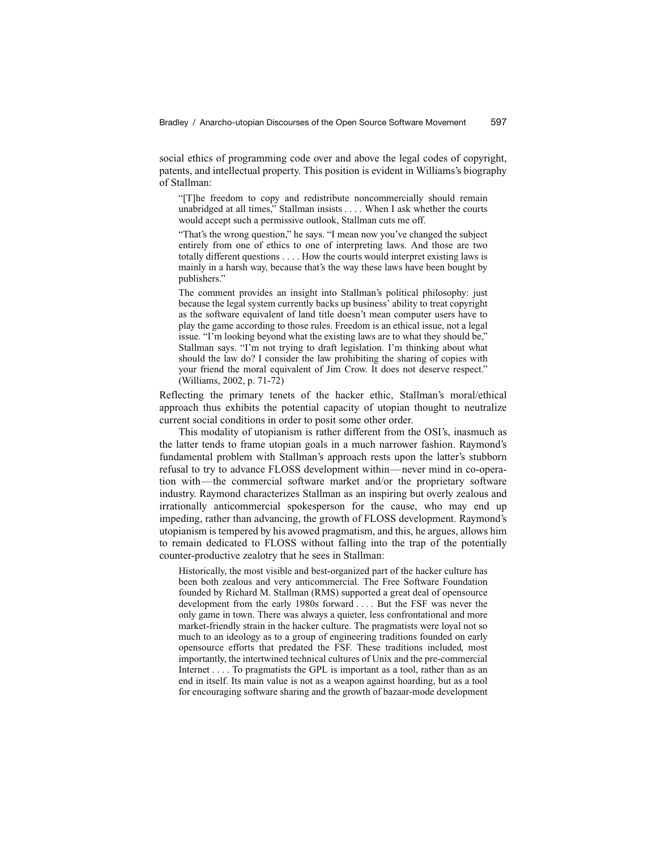social ethics of programming code over and above the legal codes of copyright, patents, and intellectual property. This position is evident in Williams's biography of Stallman:

"[T]he freedom to copy and redistribute noncommercially should remain unabridged at all times," Stallman insists . . . . When I ask whether the courts would accept such a permissive outlook, Stallman cuts me off.

"That's the wrong question," he says. "I mean now you've changed the subject entirely from one of ethics to one of interpreting laws. And those are two totally different questions . . . . How the courts would interpret existing laws is mainly in a harsh way, because that's the way these laws have been bought by publishers."

The comment provides an insight into Stallman's political philosophy: just because the legal system currently backs up business' ability to treat copyright as the software equivalent of land title doesn't mean computer users have to play the game according to those rules. Freedom is an ethical issue, not a legal issue. "I'm looking beyond what the existing laws are to what they should be," Stallman says. "I'm not trying to draft legislation. I'm thinking about what should the law do? I consider the law prohibiting the sharing of copies with your friend the moral equivalent of Jim Crow. It does not deserve respect." (Williams, 2002, p. 71-72)

Reflecting the primary tenets of the hacker ethic, Stallman's moral/ethical approach thus exhibits the potential capacity of utopian thought to neutralize current social conditions in order to posit some other order.

This modality of utopianism is rather different from the OSI's, inasmuch as the latter tends to frame utopian goals in a much narrower fashion. Raymond's fundamental problem with Stallman's approach rests upon the latter's stubborn refusal to try to advance FLOSS development within—never mind in co-operation with—the commercial software market and/or the proprietary software industry. Raymond characterizes Stallman as an inspiring but overly zealous and irrationally anticommercial spokesperson for the cause, who may end up impeding, rather than advancing, the growth of FLOSS development. Raymond's utopianism is tempered by his avowed pragmatism, and this, he argues, allows him to remain dedicated to FLOSS without falling into the trap of the potentially counter-productive zealotry that he sees in Stallman:

Historically, the most visible and best-organized part of the hacker culture has been both zealous and very anticommercial. The Free Software Foundation founded by Richard M. Stallman (RMS) supported a great deal of opensource development from the early 1980s forward . . . . But the FSF was never the only game in town. There was always a quieter, less confrontational and more market-friendly strain in the hacker culture. The pragmatists were loyal not so much to an ideology as to a group of engineering traditions founded on early opensource efforts that predated the FSF. These traditions included, most importantly, the intertwined technical cultures of Unix and the pre-commercial Internet . . . . To pragmatists the GPL is important as a tool, rather than as an end in itself. Its main value is not as a weapon against hoarding, but as a tool for encouraging software sharing and the growth of bazaar-mode development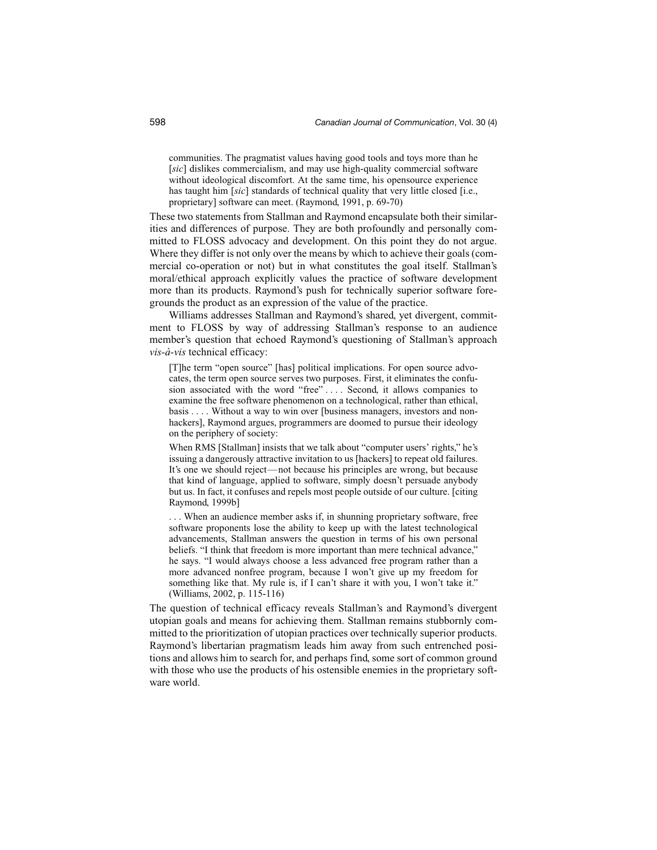communities. The pragmatist values having good tools and toys more than he [*sic*] dislikes commercialism, and may use high-quality commercial software without ideological discomfort. At the same time, his opensource experience has taught him [*sic*] standards of technical quality that very little closed [i.e., proprietary] software can meet. (Raymond, 1991, p. 69-70)

These two statements from Stallman and Raymond encapsulate both their similarities and differences of purpose. They are both profoundly and personally committed to FLOSS advocacy and development. On this point they do not argue. Where they differ is not only over the means by which to achieve their goals (commercial co-operation or not) but in what constitutes the goal itself. Stallman's moral/ethical approach explicitly values the practice of software development more than its products. Raymond's push for technically superior software foregrounds the product as an expression of the value of the practice.

Williams addresses Stallman and Raymond's shared, yet divergent, commitment to FLOSS by way of addressing Stallman's response to an audience member's question that echoed Raymond's questioning of Stallman's approach *vis-à-vis* technical efficacy:

[T]he term "open source" [has] political implications. For open source advocates, the term open source serves two purposes. First, it eliminates the confusion associated with the word "free".... Second, it allows companies to examine the free software phenomenon on a technological, rather than ethical, basis . . . . Without a way to win over [business managers, investors and nonhackers], Raymond argues, programmers are doomed to pursue their ideology on the periphery of society:

When RMS [Stallman] insists that we talk about "computer users' rights," he's issuing a dangerously attractive invitation to us [hackers] to repeat old failures. It's one we should reject—not because his principles are wrong, but because that kind of language, applied to software, simply doesn't persuade anybody but us. In fact, it confuses and repels most people outside of our culture. [citing Raymond, 1999b]

. . . When an audience member asks if, in shunning proprietary software, free software proponents lose the ability to keep up with the latest technological advancements, Stallman answers the question in terms of his own personal beliefs. "I think that freedom is more important than mere technical advance," he says. "I would always choose a less advanced free program rather than a more advanced nonfree program, because I won't give up my freedom for something like that. My rule is, if I can't share it with you, I won't take it." (Williams, 2002, p. 115-116)

The question of technical efficacy reveals Stallman's and Raymond's divergent utopian goals and means for achieving them. Stallman remains stubbornly committed to the prioritization of utopian practices over technically superior products. Raymond's libertarian pragmatism leads him away from such entrenched positions and allows him to search for, and perhaps find, some sort of common ground with those who use the products of his ostensible enemies in the proprietary software world.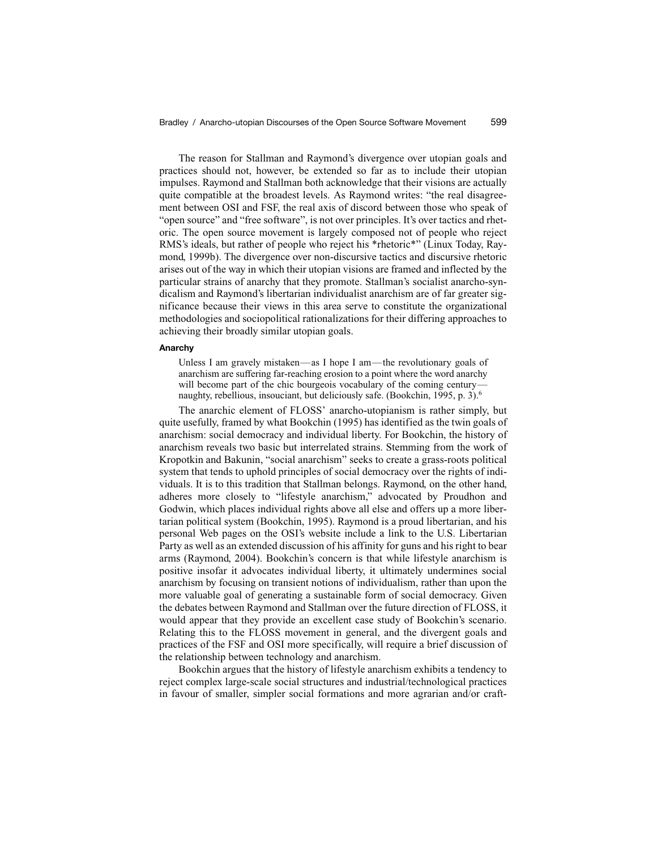The reason for Stallman and Raymond's divergence over utopian goals and practices should not, however, be extended so far as to include their utopian impulses. Raymond and Stallman both acknowledge that their visions are actually quite compatible at the broadest levels. As Raymond writes: "the real disagreement between OSI and FSF, the real axis of discord between those who speak of "open source" and "free software", is not over principles. It's over tactics and rhetoric. The open source movement is largely composed not of people who reject RMS's ideals, but rather of people who reject his \*rhetoric\*" (Linux Today, Raymond, 1999b). The divergence over non-discursive tactics and discursive rhetoric arises out of the way in which their utopian visions are framed and inflected by the particular strains of anarchy that they promote. Stallman's socialist anarcho-syndicalism and Raymond's libertarian individualist anarchism are of far greater significance because their views in this area serve to constitute the organizational methodologies and sociopolitical rationalizations for their differing approaches to achieving their broadly similar utopian goals.

#### **Anarchy**

Unless I am gravely mistaken—as I hope I am—the revolutionary goals of anarchism are suffering far-reaching erosion to a point where the word anarchy will become part of the chic bourgeois vocabulary of the coming centurynaughty, rebellious, insouciant, but deliciously safe. (Bookchin, 1995, p. 3).<sup>6</sup>

The anarchic element of FLOSS' anarcho-utopianism is rather simply, but quite usefully, framed by what Bookchin (1995) has identified as the twin goals of anarchism: social democracy and individual liberty. For Bookchin, the history of anarchism reveals two basic but interrelated strains. Stemming from the work of Kropotkin and Bakunin, "social anarchism" seeks to create a grass-roots political system that tends to uphold principles of social democracy over the rights of individuals. It is to this tradition that Stallman belongs. Raymond, on the other hand, adheres more closely to "lifestyle anarchism," advocated by Proudhon and Godwin, which places individual rights above all else and offers up a more libertarian political system (Bookchin, 1995). Raymond is a proud libertarian, and his personal Web pages on the OSI's website include a link to the U.S. Libertarian Party as well as an extended discussion of his affinity for guns and his right to bear arms (Raymond, 2004). Bookchin's concern is that while lifestyle anarchism is positive insofar it advocates individual liberty, it ultimately undermines social anarchism by focusing on transient notions of individualism, rather than upon the more valuable goal of generating a sustainable form of social democracy. Given the debates between Raymond and Stallman over the future direction of FLOSS, it would appear that they provide an excellent case study of Bookchin's scenario. Relating this to the FLOSS movement in general, and the divergent goals and practices of the FSF and OSI more specifically, will require a brief discussion of the relationship between technology and anarchism.

Bookchin argues that the history of lifestyle anarchism exhibits a tendency to reject complex large-scale social structures and industrial/technological practices in favour of smaller, simpler social formations and more agrarian and/or craft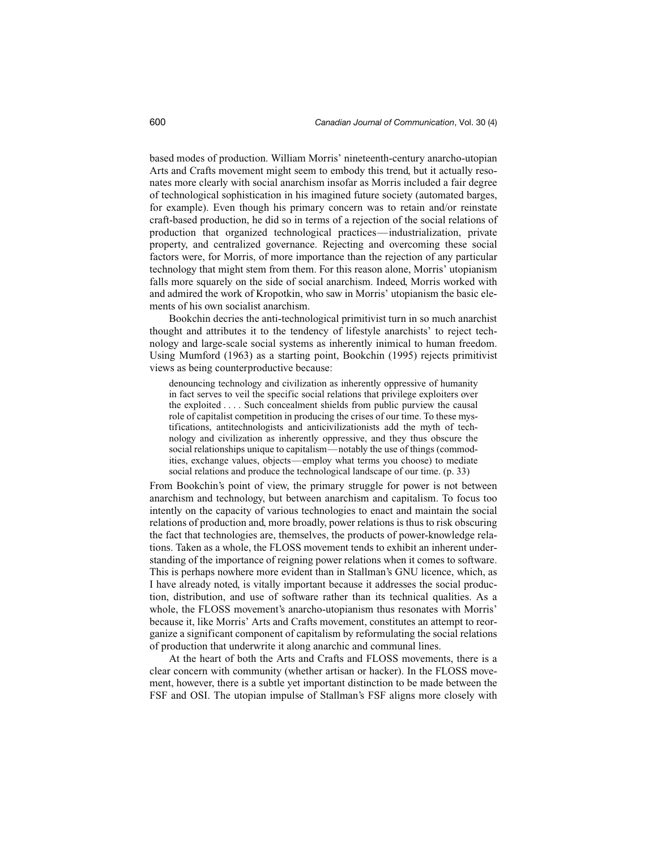based modes of production. William Morris' nineteenth-century anarcho-utopian Arts and Crafts movement might seem to embody this trend, but it actually resonates more clearly with social anarchism insofar as Morris included a fair degree of technological sophistication in his imagined future society (automated barges, for example). Even though his primary concern was to retain and/or reinstate craft-based production, he did so in terms of a rejection of the social relations of production that organized technological practices—industrialization, private property, and centralized governance. Rejecting and overcoming these social factors were, for Morris, of more importance than the rejection of any particular technology that might stem from them. For this reason alone, Morris' utopianism falls more squarely on the side of social anarchism. Indeed, Morris worked with and admired the work of Kropotkin, who saw in Morris' utopianism the basic elements of his own socialist anarchism.

Bookchin decries the anti-technological primitivist turn in so much anarchist thought and attributes it to the tendency of lifestyle anarchists' to reject technology and large-scale social systems as inherently inimical to human freedom. Using Mumford (1963) as a starting point, Bookchin (1995) rejects primitivist views as being counterproductive because:

denouncing technology and civilization as inherently oppressive of humanity in fact serves to veil the specific social relations that privilege exploiters over the exploited . . . . Such concealment shields from public purview the causal role of capitalist competition in producing the crises of our time. To these mystifications, antitechnologists and anticivilizationists add the myth of technology and civilization as inherently oppressive, and they thus obscure the social relationships unique to capitalism—notably the use of things (commodities, exchange values, objects—employ what terms you choose) to mediate social relations and produce the technological landscape of our time. (p. 33)

From Bookchin's point of view, the primary struggle for power is not between anarchism and technology, but between anarchism and capitalism. To focus too intently on the capacity of various technologies to enact and maintain the social relations of production and, more broadly, power relations is thus to risk obscuring the fact that technologies are, themselves, the products of power-knowledge relations. Taken as a whole, the FLOSS movement tends to exhibit an inherent understanding of the importance of reigning power relations when it comes to software. This is perhaps nowhere more evident than in Stallman's GNU licence, which, as I have already noted, is vitally important because it addresses the social production, distribution, and use of software rather than its technical qualities. As a whole, the FLOSS movement's anarcho-utopianism thus resonates with Morris' because it, like Morris' Arts and Crafts movement, constitutes an attempt to reorganize a significant component of capitalism by reformulating the social relations of production that underwrite it along anarchic and communal lines.

At the heart of both the Arts and Crafts and FLOSS movements, there is a clear concern with community (whether artisan or hacker). In the FLOSS movement, however, there is a subtle yet important distinction to be made between the FSF and OSI. The utopian impulse of Stallman's FSF aligns more closely with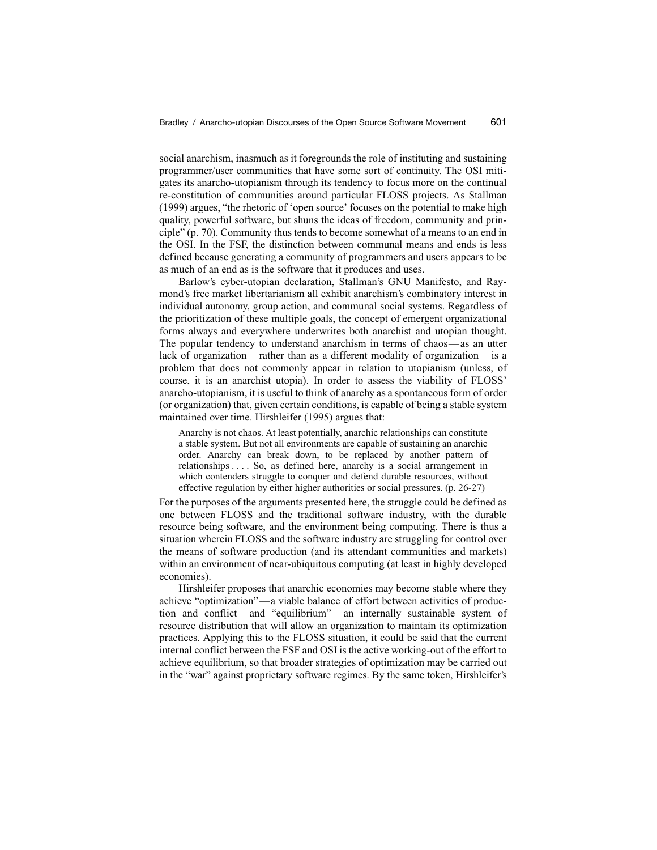social anarchism, inasmuch as it foregrounds the role of instituting and sustaining programmer/user communities that have some sort of continuity. The OSI mitigates its anarcho-utopianism through its tendency to focus more on the continual re-constitution of communities around particular FLOSS projects. As Stallman (1999) argues, "the rhetoric of 'open source' focuses on the potential to make high quality, powerful software, but shuns the ideas of freedom, community and principle" (p. 70). Community thus tends to become somewhat of a means to an end in the OSI. In the FSF, the distinction between communal means and ends is less defined because generating a community of programmers and users appears to be as much of an end as is the software that it produces and uses.

Barlow's cyber-utopian declaration, Stallman's GNU Manifesto, and Raymond's free market libertarianism all exhibit anarchism's combinatory interest in individual autonomy, group action, and communal social systems. Regardless of the prioritization of these multiple goals, the concept of emergent organizational forms always and everywhere underwrites both anarchist and utopian thought. The popular tendency to understand anarchism in terms of chaos—as an utter lack of organization—rather than as a different modality of organization—is a problem that does not commonly appear in relation to utopianism (unless, of course, it is an anarchist utopia). In order to assess the viability of FLOSS' anarcho-utopianism, it is useful to think of anarchy as a spontaneous form of order (or organization) that, given certain conditions, is capable of being a stable system maintained over time. Hirshleifer (1995) argues that:

Anarchy is not chaos. At least potentially, anarchic relationships can constitute a stable system. But not all environments are capable of sustaining an anarchic order. Anarchy can break down, to be replaced by another pattern of relationships . . . . So, as defined here, anarchy is a social arrangement in which contenders struggle to conquer and defend durable resources, without effective regulation by either higher authorities or social pressures. (p. 26-27)

For the purposes of the arguments presented here, the struggle could be defined as one between FLOSS and the traditional software industry, with the durable resource being software, and the environment being computing. There is thus a situation wherein FLOSS and the software industry are struggling for control over the means of software production (and its attendant communities and markets) within an environment of near-ubiquitous computing (at least in highly developed economies).

Hirshleifer proposes that anarchic economies may become stable where they achieve "optimization"—a viable balance of effort between activities of production and conflict—and "equilibrium"—an internally sustainable system of resource distribution that will allow an organization to maintain its optimization practices. Applying this to the FLOSS situation, it could be said that the current internal conflict between the FSF and OSI is the active working-out of the effort to achieve equilibrium, so that broader strategies of optimization may be carried out in the "war" against proprietary software regimes. By the same token, Hirshleifer's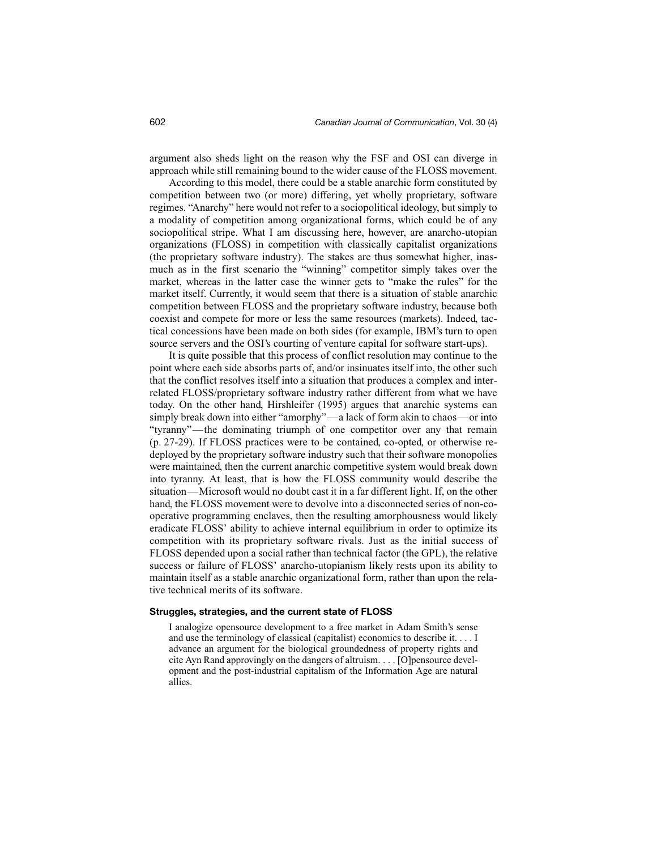argument also sheds light on the reason why the FSF and OSI can diverge in approach while still remaining bound to the wider cause of the FLOSS movement.

According to this model, there could be a stable anarchic form constituted by competition between two (or more) differing, yet wholly proprietary, software regimes. "Anarchy" here would not refer to a sociopolitical ideology, but simply to a modality of competition among organizational forms, which could be of any sociopolitical stripe. What I am discussing here, however, are anarcho-utopian organizations (FLOSS) in competition with classically capitalist organizations (the proprietary software industry). The stakes are thus somewhat higher, inasmuch as in the first scenario the "winning" competitor simply takes over the market, whereas in the latter case the winner gets to "make the rules" for the market itself. Currently, it would seem that there is a situation of stable anarchic competition between FLOSS and the proprietary software industry, because both coexist and compete for more or less the same resources (markets). Indeed, tactical concessions have been made on both sides (for example, IBM's turn to open source servers and the OSI's courting of venture capital for software start-ups).

It is quite possible that this process of conflict resolution may continue to the point where each side absorbs parts of, and/or insinuates itself into, the other such that the conflict resolves itself into a situation that produces a complex and interrelated FLOSS/proprietary software industry rather different from what we have today. On the other hand, Hirshleifer (1995) argues that anarchic systems can simply break down into either "amorphy"—a lack of form akin to chaos—or into "tyranny"—the dominating triumph of one competitor over any that remain (p. 27-29). If FLOSS practices were to be contained, co-opted, or otherwise redeployed by the proprietary software industry such that their software monopolies were maintained, then the current anarchic competitive system would break down into tyranny. At least, that is how the FLOSS community would describe the situation—Microsoft would no doubt cast it in a far different light. If, on the other hand, the FLOSS movement were to devolve into a disconnected series of non-cooperative programming enclaves, then the resulting amorphousness would likely eradicate FLOSS' ability to achieve internal equilibrium in order to optimize its competition with its proprietary software rivals. Just as the initial success of FLOSS depended upon a social rather than technical factor (the GPL), the relative success or failure of FLOSS' anarcho-utopianism likely rests upon its ability to maintain itself as a stable anarchic organizational form, rather than upon the relative technical merits of its software.

#### **Struggles, strategies, and the current state of FLOSS**

I analogize opensource development to a free market in Adam Smith's sense and use the terminology of classical (capitalist) economics to describe it. . . . I advance an argument for the biological groundedness of property rights and cite Ayn Rand approvingly on the dangers of altruism. . . . [O]pensource development and the post-industrial capitalism of the Information Age are natural allies.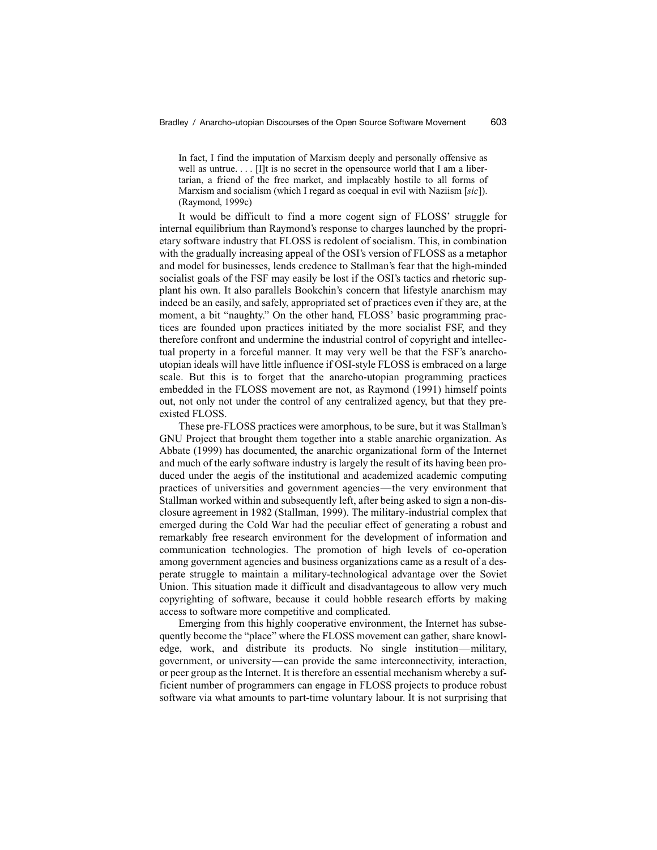In fact, I find the imputation of Marxism deeply and personally offensive as well as untrue. . . . [I]t is no secret in the opensource world that I am a libertarian, a friend of the free market, and implacably hostile to all forms of Marxism and socialism (which I regard as coequal in evil with Naziism [*sic*]). (Raymond, 1999c)

It would be difficult to find a more cogent sign of FLOSS' struggle for internal equilibrium than Raymond's response to charges launched by the proprietary software industry that FLOSS is redolent of socialism. This, in combination with the gradually increasing appeal of the OSI's version of FLOSS as a metaphor and model for businesses, lends credence to Stallman's fear that the high-minded socialist goals of the FSF may easily be lost if the OSI's tactics and rhetoric supplant his own. It also parallels Bookchin's concern that lifestyle anarchism may indeed be an easily, and safely, appropriated set of practices even if they are, at the moment, a bit "naughty." On the other hand, FLOSS' basic programming practices are founded upon practices initiated by the more socialist FSF, and they therefore confront and undermine the industrial control of copyright and intellectual property in a forceful manner. It may very well be that the FSF's anarchoutopian ideals will have little influence if OSI-style FLOSS is embraced on a large scale. But this is to forget that the anarcho-utopian programming practices embedded in the FLOSS movement are not, as Raymond (1991) himself points out, not only not under the control of any centralized agency, but that they preexisted FLOSS.

These pre-FLOSS practices were amorphous, to be sure, but it was Stallman's GNU Project that brought them together into a stable anarchic organization. As Abbate (1999) has documented, the anarchic organizational form of the Internet and much of the early software industry is largely the result of its having been produced under the aegis of the institutional and academized academic computing practices of universities and government agencies—the very environment that Stallman worked within and subsequently left, after being asked to sign a non-disclosure agreement in 1982 (Stallman, 1999). The military-industrial complex that emerged during the Cold War had the peculiar effect of generating a robust and remarkably free research environment for the development of information and communication technologies. The promotion of high levels of co-operation among government agencies and business organizations came as a result of a desperate struggle to maintain a military-technological advantage over the Soviet Union. This situation made it difficult and disadvantageous to allow very much copyrighting of software, because it could hobble research efforts by making access to software more competitive and complicated.

Emerging from this highly cooperative environment, the Internet has subsequently become the "place" where the FLOSS movement can gather, share knowledge, work, and distribute its products. No single institution—military, government, or university—can provide the same interconnectivity, interaction, or peer group as the Internet. It is therefore an essential mechanism whereby a sufficient number of programmers can engage in FLOSS projects to produce robust software via what amounts to part-time voluntary labour. It is not surprising that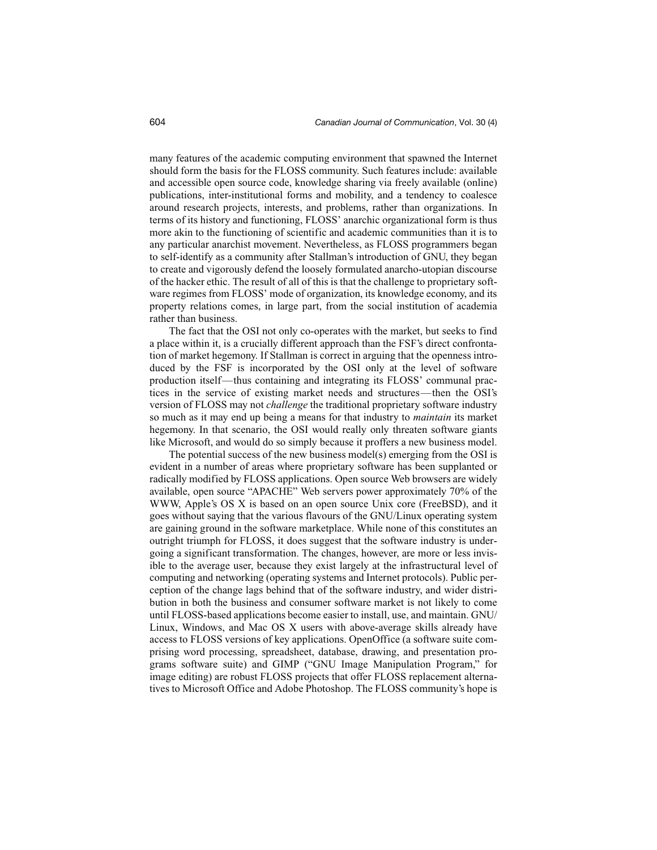many features of the academic computing environment that spawned the Internet should form the basis for the FLOSS community. Such features include: available and accessible open source code, knowledge sharing via freely available (online) publications, inter-institutional forms and mobility, and a tendency to coalesce around research projects, interests, and problems, rather than organizations. In terms of its history and functioning, FLOSS' anarchic organizational form is thus more akin to the functioning of scientific and academic communities than it is to any particular anarchist movement. Nevertheless, as FLOSS programmers began to self-identify as a community after Stallman's introduction of GNU, they began to create and vigorously defend the loosely formulated anarcho-utopian discourse of the hacker ethic. The result of all of this is that the challenge to proprietary software regimes from FLOSS' mode of organization, its knowledge economy, and its property relations comes, in large part, from the social institution of academia rather than business.

The fact that the OSI not only co-operates with the market, but seeks to find a place within it, is a crucially different approach than the FSF's direct confrontation of market hegemony. If Stallman is correct in arguing that the openness introduced by the FSF is incorporated by the OSI only at the level of software production itself—thus containing and integrating its FLOSS' communal practices in the service of existing market needs and structures—then the OSI's version of FLOSS may not *challenge* the traditional proprietary software industry so much as it may end up being a means for that industry to *maintain* its market hegemony. In that scenario, the OSI would really only threaten software giants like Microsoft, and would do so simply because it proffers a new business model.

The potential success of the new business model(s) emerging from the OSI is evident in a number of areas where proprietary software has been supplanted or radically modified by FLOSS applications. Open source Web browsers are widely available, open source "APACHE" Web servers power approximately 70% of the WWW, Apple's OS X is based on an open source Unix core (FreeBSD), and it goes without saying that the various flavours of the GNU/Linux operating system are gaining ground in the software marketplace. While none of this constitutes an outright triumph for FLOSS, it does suggest that the software industry is undergoing a significant transformation. The changes, however, are more or less invisible to the average user, because they exist largely at the infrastructural level of computing and networking (operating systems and Internet protocols). Public perception of the change lags behind that of the software industry, and wider distribution in both the business and consumer software market is not likely to come until FLOSS-based applications become easier to install, use, and maintain. GNU/ Linux, Windows, and Mac OS X users with above-average skills already have access to FLOSS versions of key applications. OpenOffice (a software suite comprising word processing, spreadsheet, database, drawing, and presentation programs software suite) and GIMP ("GNU Image Manipulation Program," for image editing) are robust FLOSS projects that offer FLOSS replacement alternatives to Microsoft Office and Adobe Photoshop. The FLOSS community's hope is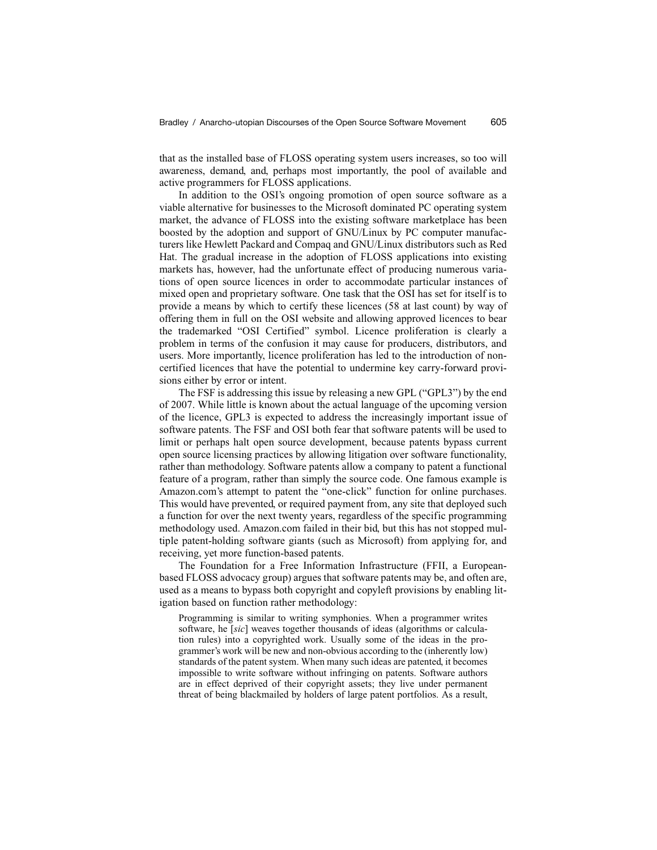that as the installed base of FLOSS operating system users increases, so too will awareness, demand, and, perhaps most importantly, the pool of available and active programmers for FLOSS applications.

In addition to the OSI's ongoing promotion of open source software as a viable alternative for businesses to the Microsoft dominated PC operating system market, the advance of FLOSS into the existing software marketplace has been boosted by the adoption and support of GNU/Linux by PC computer manufacturers like Hewlett Packard and Compaq and GNU/Linux distributors such as Red Hat. The gradual increase in the adoption of FLOSS applications into existing markets has, however, had the unfortunate effect of producing numerous variations of open source licences in order to accommodate particular instances of mixed open and proprietary software. One task that the OSI has set for itself is to provide a means by which to certify these licences (58 at last count) by way of offering them in full on the OSI website and allowing approved licences to bear the trademarked "OSI Certified" symbol. Licence proliferation is clearly a problem in terms of the confusion it may cause for producers, distributors, and users. More importantly, licence proliferation has led to the introduction of noncertified licences that have the potential to undermine key carry-forward provisions either by error or intent.

The FSF is addressing this issue by releasing a new GPL ("GPL3") by the end of 2007. While little is known about the actual language of the upcoming version of the licence, GPL3 is expected to address the increasingly important issue of software patents. The FSF and OSI both fear that software patents will be used to limit or perhaps halt open source development, because patents bypass current open source licensing practices by allowing litigation over software functionality, rather than methodology. Software patents allow a company to patent a functional feature of a program, rather than simply the source code. One famous example is Amazon.com's attempt to patent the "one-click" function for online purchases. This would have prevented, or required payment from, any site that deployed such a function for over the next twenty years, regardless of the specific programming methodology used. Amazon.com failed in their bid, but this has not stopped multiple patent-holding software giants (such as Microsoft) from applying for, and receiving, yet more function-based patents.

The Foundation for a Free Information Infrastructure (FFII, a Europeanbased FLOSS advocacy group) argues that software patents may be, and often are, used as a means to bypass both copyright and copyleft provisions by enabling litigation based on function rather methodology:

Programming is similar to writing symphonies. When a programmer writes software, he [*sic*] weaves together thousands of ideas (algorithms or calculation rules) into a copyrighted work. Usually some of the ideas in the programmer's work will be new and non-obvious according to the (inherently low) standards of the patent system. When many such ideas are patented, it becomes impossible to write software without infringing on patents. Software authors are in effect deprived of their copyright assets; they live under permanent threat of being blackmailed by holders of large patent portfolios. As a result,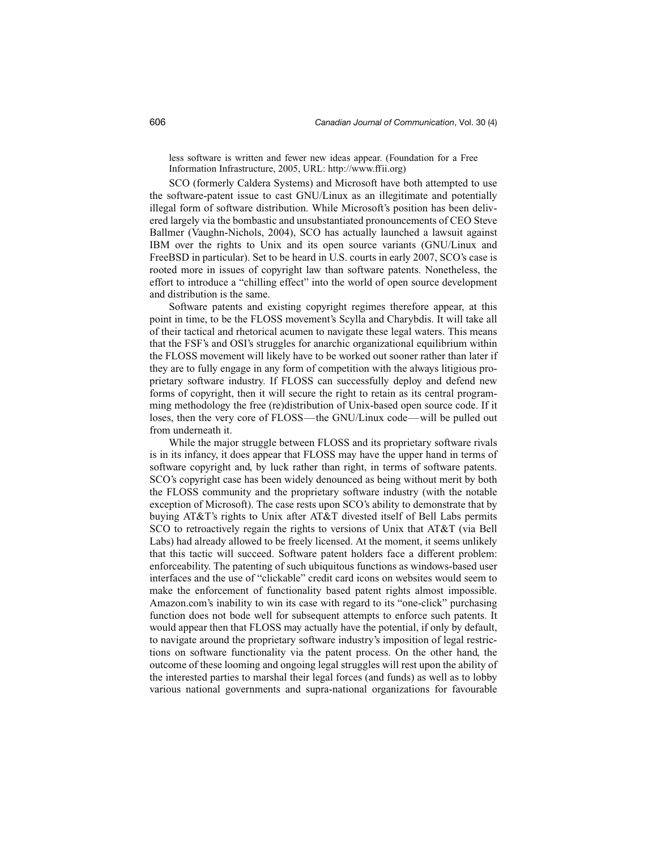less software is written and fewer new ideas appear. (Foundation for a Free Information Infrastructure, 2005, URL: http://www.ffii.org)

SCO (formerly Caldera Systems) and Microsoft have both attempted to use the software-patent issue to cast GNU/Linux as an illegitimate and potentially illegal form of software distribution. While Microsoft's position has been delivered largely via the bombastic and unsubstantiated pronouncements of CEO Steve Ballmer (Vaughn-Nichols, 2004), SCO has actually launched a lawsuit against IBM over the rights to Unix and its open source variants (GNU/Linux and FreeBSD in particular). Set to be heard in U.S. courts in early 2007, SCO's case is rooted more in issues of copyright law than software patents. Nonetheless, the effort to introduce a "chilling effect" into the world of open source development and distribution is the same.

Software patents and existing copyright regimes therefore appear, at this point in time, to be the FLOSS movement's Scylla and Charybdis. It will take all of their tactical and rhetorical acumen to navigate these legal waters. This means that the FSF's and OSI's struggles for anarchic organizational equilibrium within the FLOSS movement will likely have to be worked out sooner rather than later if they are to fully engage in any form of competition with the always litigious proprietary software industry. If FLOSS can successfully deploy and defend new forms of copyright, then it will secure the right to retain as its central programming methodology the free (re)distribution of Unix-based open source code. If it loses, then the very core of FLOSS—the GNU/Linux code—will be pulled out from underneath it.

While the major struggle between FLOSS and its proprietary software rivals is in its infancy, it does appear that FLOSS may have the upper hand in terms of software copyright and, by luck rather than right, in terms of software patents. SCO's copyright case has been widely denounced as being without merit by both the FLOSS community and the proprietary software industry (with the notable exception of Microsoft). The case rests upon SCO's ability to demonstrate that by buying AT&T's rights to Unix after AT&T divested itself of Bell Labs permits SCO to retroactively regain the rights to versions of Unix that AT&T (via Bell Labs) had already allowed to be freely licensed. At the moment, it seems unlikely that this tactic will succeed. Software patent holders face a different problem: enforceability. The patenting of such ubiquitous functions as windows-based user interfaces and the use of "clickable" credit card icons on websites would seem to make the enforcement of functionality based patent rights almost impossible. Amazon.com's inability to win its case with regard to its "one-click" purchasing function does not bode well for subsequent attempts to enforce such patents. It would appear then that FLOSS may actually have the potential, if only by default, to navigate around the proprietary software industry's imposition of legal restrictions on software functionality via the patent process. On the other hand, the outcome of these looming and ongoing legal struggles will rest upon the ability of the interested parties to marshal their legal forces (and funds) as well as to lobby various national governments and supra-national organizations for favourable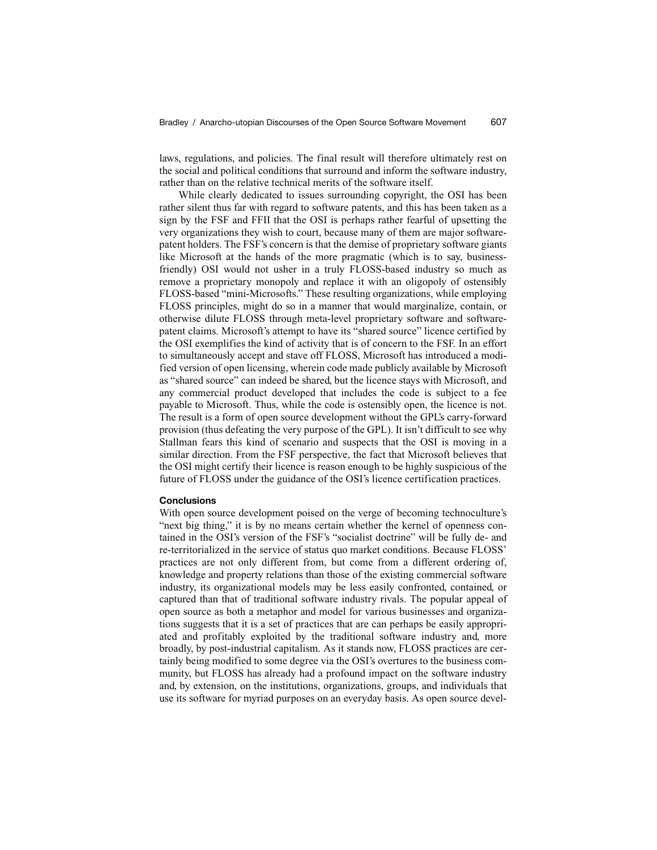laws, regulations, and policies. The final result will therefore ultimately rest on the social and political conditions that surround and inform the software industry, rather than on the relative technical merits of the software itself.

While clearly dedicated to issues surrounding copyright, the OSI has been rather silent thus far with regard to software patents, and this has been taken as a sign by the FSF and FFII that the OSI is perhaps rather fearful of upsetting the very organizations they wish to court, because many of them are major softwarepatent holders. The FSF's concern is that the demise of proprietary software giants like Microsoft at the hands of the more pragmatic (which is to say, businessfriendly) OSI would not usher in a truly FLOSS-based industry so much as remove a proprietary monopoly and replace it with an oligopoly of ostensibly FLOSS-based "mini-Microsofts." These resulting organizations, while employing FLOSS principles, might do so in a manner that would marginalize, contain, or otherwise dilute FLOSS through meta-level proprietary software and softwarepatent claims. Microsoft's attempt to have its "shared source" licence certified by the OSI exemplifies the kind of activity that is of concern to the FSF. In an effort to simultaneously accept and stave off FLOSS, Microsoft has introduced a modified version of open licensing, wherein code made publicly available by Microsoft as "shared source" can indeed be shared, but the licence stays with Microsoft, and any commercial product developed that includes the code is subject to a fee payable to Microsoft. Thus, while the code is ostensibly open, the licence is not. The result is a form of open source development without the GPL's carry-forward provision (thus defeating the very purpose of the GPL). It isn't difficult to see why Stallman fears this kind of scenario and suspects that the OSI is moving in a similar direction. From the FSF perspective, the fact that Microsoft believes that the OSI might certify their licence is reason enough to be highly suspicious of the future of FLOSS under the guidance of the OSI's licence certification practices.

#### **Conclusions**

With open source development poised on the verge of becoming technoculture's "next big thing," it is by no means certain whether the kernel of openness contained in the OSI's version of the FSF's "socialist doctrine" will be fully de- and re-territorialized in the service of status quo market conditions. Because FLOSS' practices are not only different from, but come from a different ordering of, knowledge and property relations than those of the existing commercial software industry, its organizational models may be less easily confronted, contained, or captured than that of traditional software industry rivals. The popular appeal of open source as both a metaphor and model for various businesses and organizations suggests that it is a set of practices that are can perhaps be easily appropriated and profitably exploited by the traditional software industry and, more broadly, by post-industrial capitalism. As it stands now, FLOSS practices are certainly being modified to some degree via the OSI's overtures to the business community, but FLOSS has already had a profound impact on the software industry and, by extension, on the institutions, organizations, groups, and individuals that use its software for myriad purposes on an everyday basis. As open source devel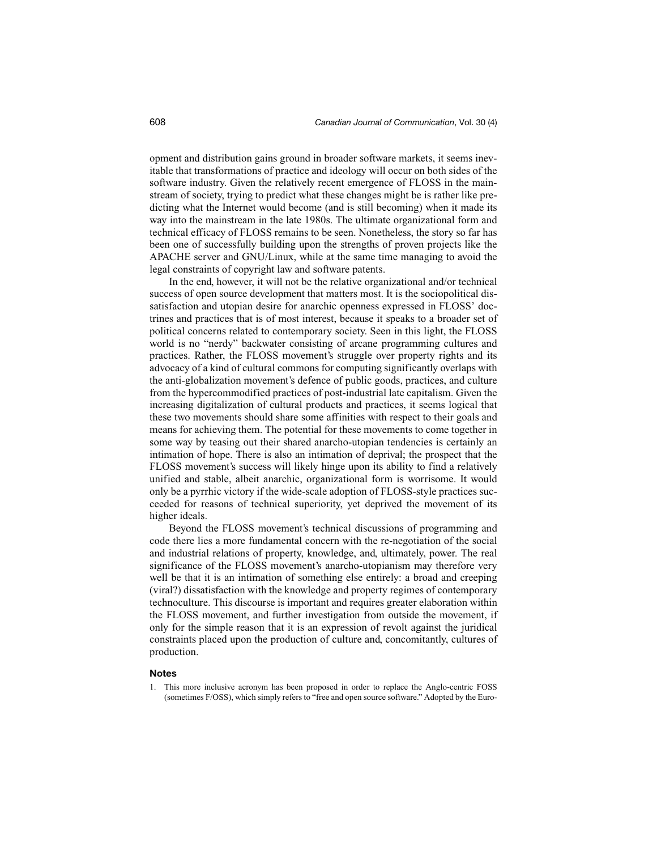opment and distribution gains ground in broader software markets, it seems inevitable that transformations of practice and ideology will occur on both sides of the software industry. Given the relatively recent emergence of FLOSS in the mainstream of society, trying to predict what these changes might be is rather like predicting what the Internet would become (and is still becoming) when it made its way into the mainstream in the late 1980s. The ultimate organizational form and technical efficacy of FLOSS remains to be seen. Nonetheless, the story so far has been one of successfully building upon the strengths of proven projects like the APACHE server and GNU/Linux, while at the same time managing to avoid the legal constraints of copyright law and software patents.

In the end, however, it will not be the relative organizational and/or technical success of open source development that matters most. It is the sociopolitical dissatisfaction and utopian desire for anarchic openness expressed in FLOSS' doctrines and practices that is of most interest, because it speaks to a broader set of political concerns related to contemporary society. Seen in this light, the FLOSS world is no "nerdy" backwater consisting of arcane programming cultures and practices. Rather, the FLOSS movement's struggle over property rights and its advocacy of a kind of cultural commons for computing significantly overlaps with the anti-globalization movement's defence of public goods, practices, and culture from the hypercommodified practices of post-industrial late capitalism. Given the increasing digitalization of cultural products and practices, it seems logical that these two movements should share some affinities with respect to their goals and means for achieving them. The potential for these movements to come together in some way by teasing out their shared anarcho-utopian tendencies is certainly an intimation of hope. There is also an intimation of deprival; the prospect that the FLOSS movement's success will likely hinge upon its ability to find a relatively unified and stable, albeit anarchic, organizational form is worrisome. It would only be a pyrrhic victory if the wide-scale adoption of FLOSS-style practices succeeded for reasons of technical superiority, yet deprived the movement of its higher ideals.

Beyond the FLOSS movement's technical discussions of programming and code there lies a more fundamental concern with the re-negotiation of the social and industrial relations of property, knowledge, and, ultimately, power. The real significance of the FLOSS movement's anarcho-utopianism may therefore very well be that it is an intimation of something else entirely: a broad and creeping (viral?) dissatisfaction with the knowledge and property regimes of contemporary technoculture. This discourse is important and requires greater elaboration within the FLOSS movement, and further investigation from outside the movement, if only for the simple reason that it is an expression of revolt against the juridical constraints placed upon the production of culture and, concomitantly, cultures of production.

#### **Notes**

1. This more inclusive acronym has been proposed in order to replace the Anglo-centric FOSS (sometimes F/OSS), which simply refers to "free and open source software." Adopted by the Euro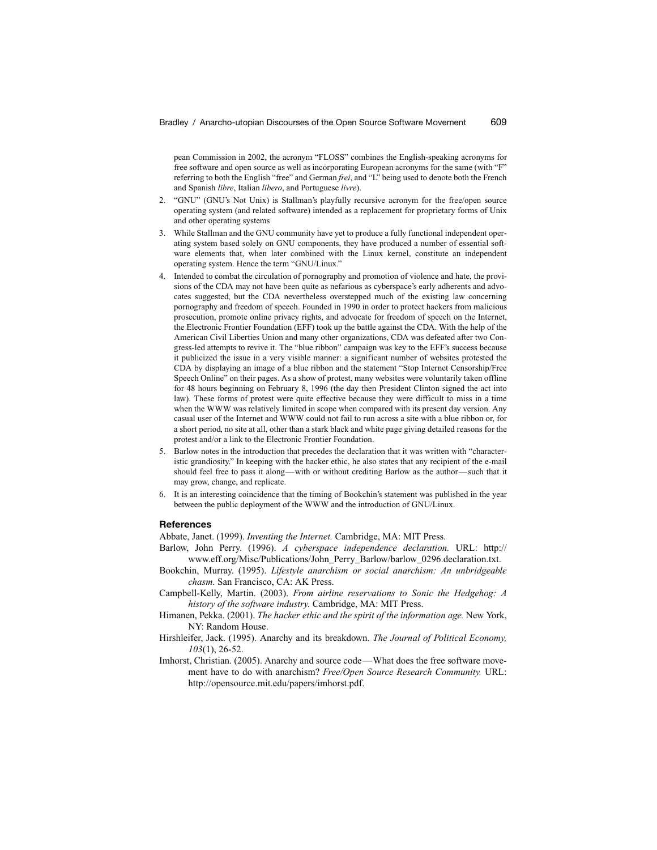pean Commission in 2002, the acronym "FLOSS" combines the English-speaking acronyms for free software and open source as well as incorporating European acronyms for the same (with "F" referring to both the English "free" and German *frei*, and "L" being used to denote both the French and Spanish *libre*, Italian *libero*, and Portuguese *livre*).

- 2. "GNU" (GNU's Not Unix) is Stallman's playfully recursive acronym for the free/open source operating system (and related software) intended as a replacement for proprietary forms of Unix and other operating systems
- 3. While Stallman and the GNU community have yet to produce a fully functional independent operating system based solely on GNU components, they have produced a number of essential software elements that, when later combined with the Linux kernel, constitute an independent operating system. Hence the term "GNU/Linux."
- 4. Intended to combat the circulation of pornography and promotion of violence and hate, the provisions of the CDA may not have been quite as nefarious as cyberspace's early adherents and advocates suggested, but the CDA nevertheless overstepped much of the existing law concerning pornography and freedom of speech. Founded in 1990 in order to protect hackers from malicious prosecution, promote online privacy rights, and advocate for freedom of speech on the Internet, the Electronic Frontier Foundation (EFF) took up the battle against the CDA. With the help of the American Civil Liberties Union and many other organizations, CDA was defeated after two Congress-led attempts to revive it. The "blue ribbon" campaign was key to the EFF's success because it publicized the issue in a very visible manner: a significant number of websites protested the CDA by displaying an image of a blue ribbon and the statement "Stop Internet Censorship/Free Speech Online" on their pages. As a show of protest, many websites were voluntarily taken offline for 48 hours beginning on February 8, 1996 (the day then President Clinton signed the act into law). These forms of protest were quite effective because they were difficult to miss in a time when the WWW was relatively limited in scope when compared with its present day version. Any casual user of the Internet and WWW could not fail to run across a site with a blue ribbon or, for a short period, no site at all, other than a stark black and white page giving detailed reasons for the protest and/or a link to the Electronic Frontier Foundation.
- 5. Barlow notes in the introduction that precedes the declaration that it was written with "characteristic grandiosity." In keeping with the hacker ethic, he also states that any recipient of the e-mail should feel free to pass it along—with or without crediting Barlow as the author—such that it may grow, change, and replicate.
- 6. It is an interesting coincidence that the timing of Bookchin's statement was published in the year between the public deployment of the WWW and the introduction of GNU/Linux.

#### **References**

Abbate, Janet. (1999). *Inventing the Internet.* Cambridge, MA: MIT Press.

- Barlow, John Perry. (1996). *A cyberspace independence declaration.* URL: http:// www.eff.org/Misc/Publications/John\_Perry\_Barlow/barlow\_0296.declaration.txt.
- Bookchin, Murray. (1995). *Lifestyle anarchism or social anarchism: An unbridgeable chasm.* San Francisco, CA: AK Press.
- Campbell-Kelly, Martin. (2003). *From airline reservations to Sonic the Hedgehog: A history of the software industry.* Cambridge, MA: MIT Press.
- Himanen, Pekka. (2001). *The hacker ethic and the spirit of the information age.* New York, NY: Random House.
- Hirshleifer, Jack. (1995). Anarchy and its breakdown. *The Journal of Political Economy, 103*(1), 26-52.
- Imhorst, Christian. (2005). Anarchy and source code—What does the free software movement have to do with anarchism? *Free/Open Source Research Community.* URL: http://opensource.mit.edu/papers/imhorst.pdf.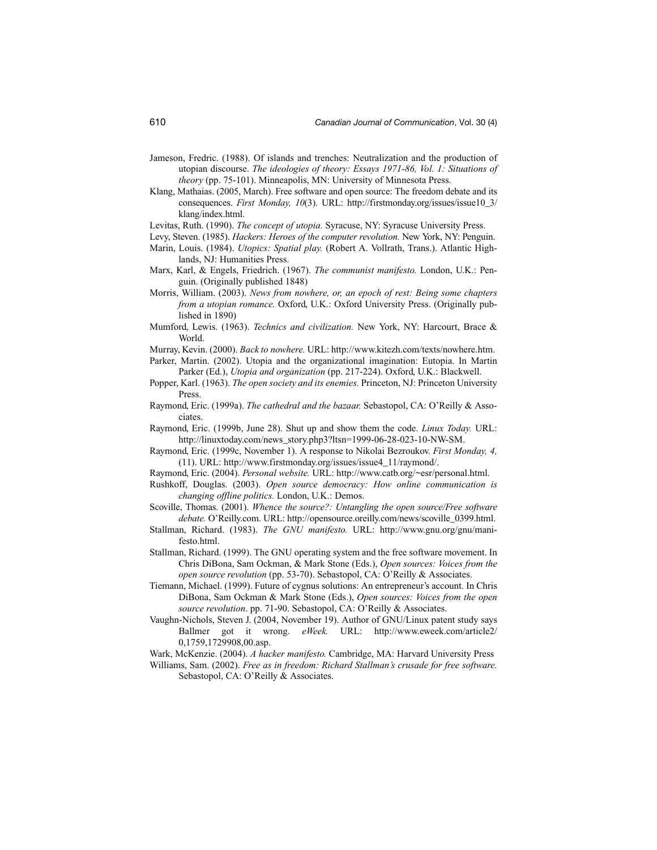- Jameson, Fredric. (1988). Of islands and trenches: Neutralization and the production of utopian discourse. *The ideologies of theory: Essays 1971-86, Vol. 1: Situations of theory* (pp. 75-101). Minneapolis, MN: University of Minnesota Press.
- Klang, Mathaias. (2005, March). Free software and open source: The freedom debate and its consequences. *First Monday, 10*(3). URL: http://firstmonday.org/issues/issue10\_3/ klang/index.html.
- Levitas, Ruth. (1990). *The concept of utopia.* Syracuse, NY: Syracuse University Press.
- Levy, Steven. (1985). *Hackers: Heroes of the computer revolution.* New York, NY: Penguin.
- Marin, Louis. (1984). *Utopics: Spatial play.* (Robert A. Vollrath, Trans.). Atlantic Highlands, NJ: Humanities Press.
- Marx, Karl, & Engels, Friedrich. (1967). *The communist manifesto.* London, U.K.: Penguin. (Originally published 1848)
- Morris, William. (2003). *News from nowhere, or, an epoch of rest: Being some chapters from a utopian romance.* Oxford, U.K.: Oxford University Press. (Originally published in 1890)
- Mumford, Lewis. (1963). *Technics and civilization.* New York, NY: Harcourt, Brace & World.
- Murray, Kevin. (2000). *Back to nowhere.* URL: http://www.kitezh.com/texts/nowhere.htm.
- Parker, Martin. (2002). Utopia and the organizational imagination: Eutopia. In Martin Parker (Ed.), *Utopia and organization* (pp. 217-224). Oxford, U.K.: Blackwell.
- Popper, Karl. (1963). *The open society and its enemies.* Princeton, NJ: Princeton University Press.
- Raymond, Eric. (1999a). *The cathedral and the bazaar.* Sebastopol, CA: O'Reilly & Associates.
- Raymond, Eric. (1999b, June 28). Shut up and show them the code. *Linux Today.* URL: http://linuxtoday.com/news\_story.php3?ltsn=1999-06-28-023-10-NW-SM.
- Raymond, Eric. (1999c, November 1). A response to Nikolai Bezroukov. *First Monday, 4,* (11). URL: http://www.firstmonday.org/issues/issue4\_11/raymond/.
- Raymond, Eric. (2004). *Personal website.* URL: http://www.catb.org/~esr/personal.html.
- Rushkoff, Douglas. (2003). *Open source democracy: How online communication is changing offline politics.* London, U.K.: Demos.
- Scoville, Thomas. (2001). *Whence the source?: Untangling the open source/Free software debate.* O'Reilly.com. URL: http://opensource.oreilly.com/news/scoville\_0399.html.
- Stallman, Richard. (1983). *The GNU manifesto.* URL: http://www.gnu.org/gnu/manifesto.html.
- Stallman, Richard. (1999). The GNU operating system and the free software movement. In Chris DiBona, Sam Ockman, & Mark Stone (Eds.), *Open sources: Voices from the open source revolution* (pp. 53-70). Sebastopol, CA: O'Reilly & Associates.
- Tiemann, Michael. (1999). Future of cygnus solutions: An entrepreneur's account. In Chris DiBona, Sam Ockman & Mark Stone (Eds.), *Open sources: Voices from the open source revolution*. pp. 71-90. Sebastopol, CA: O'Reilly & Associates.
- Vaughn-Nichols, Steven J. (2004, November 19). Author of GNU/Linux patent study says Ballmer got it wrong. *eWeek.* URL: http://www.eweek.com/article2/ 0,1759,1729908,00.asp.
- Wark, McKenzie. (2004). *A hacker manifesto.* Cambridge, MA: Harvard University Press
- Williams, Sam. (2002). *Free as in freedom: Richard Stallman's crusade for free software.* Sebastopol, CA: O'Reilly & Associates.